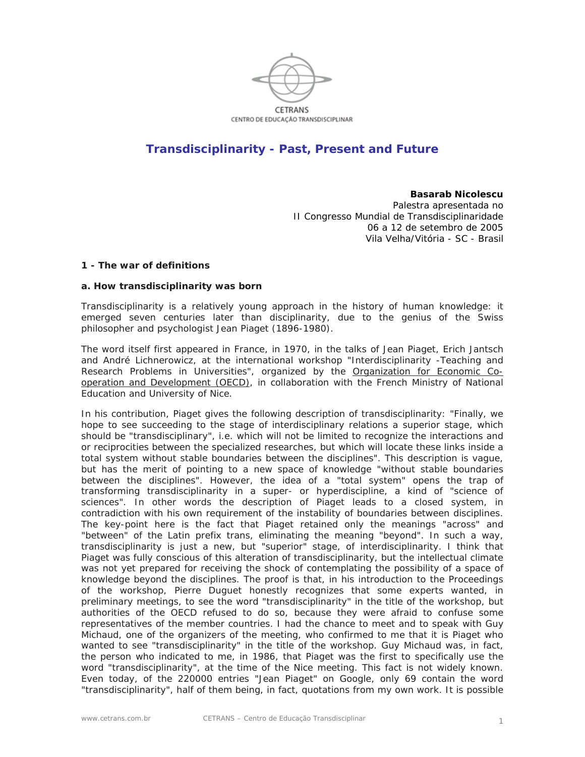

# **Transdisciplinarity - Past, Present and Future**

**Basarab Nicolescu**  Palestra apresentada no II Congresso Mundial de Transdisciplinaridade 06 a 12 de setembro de 2005 Vila Velha/Vitória - SC - Brasil

## **1 - The war of definitions**

## **a. How transdisciplinarity was born**

Transdisciplinarity is a relatively young approach in the history of human knowledge: it emerged seven centuries later than disciplinarity, due to the genius of the Swiss philosopher and psychologist Jean Piaget (1896-1980).

The word itself first appeared in France, in 1970, in the talks of Jean Piaget, Erich Jantsch and André Lichnerowicz, at the international workshop "Interdisciplinarity -Teaching and Research Problems in Universities", organized by the [Organization for Economic Co](http://www.oecd.org/)[operation and Development \(OECD\),](http://www.oecd.org/) in collaboration with the French Ministry of National Education and University of Nice.

In his contribution, Piaget gives the following description of transdisciplinarity: "Finally, we hope to see succeeding to the stage of interdisciplinary relations a superior stage, which should be "transdisciplinary", i.e. which will not be limited to recognize the interactions and or reciprocities between the specialized researches, but which will locate these links inside a total system without stable boundaries between the disciplines". This description is vague, but has the merit of pointing to a new space of knowledge "without stable boundaries between the disciplines". However, the idea of a "total system" opens the trap of transforming transdisciplinarity in a super- or hyperdiscipline, a kind of "science of sciences". In other words the description of Piaget leads to a closed system, in contradiction with his own requirement of the instability of boundaries between disciplines. The key-point here is the fact that Piaget retained only the meanings "across" and "between" of the Latin prefix *trans*, eliminating the meaning "beyond". In such a way, transdisciplinarity is just a new, but "superior" stage, of interdisciplinarity. I think that Piaget was fully conscious of this alteration of transdisciplinarity, but the intellectual climate was not yet prepared for receiving the shock of contemplating the possibility of a space of knowledge *beyond* the disciplines. The proof is that, in his introduction to the Proceedings of the workshop, Pierre Duguet honestly recognizes that some experts wanted, in preliminary meetings, to see the word "transdisciplinarity" in the title of the workshop, but authorities of the OECD refused to do so, because they were afraid to confuse some representatives of the member countries. I had the chance to meet and to speak with Guy Michaud, one of the organizers of the meeting, who confirmed to me that it is Piaget who wanted to see "transdisciplinarity" in the title of the workshop. Guy Michaud was, in fact, the person who indicated to me, in 1986, that Piaget was the first to specifically use the word "transdisciplinarity", at the time of the Nice meeting. This fact is not widely known. Even today, of the 220000 entries "Jean Piaget" on Google, only 69 contain the word "transdisciplinarity", half of them being, in fact, quotations from my own work. It is possible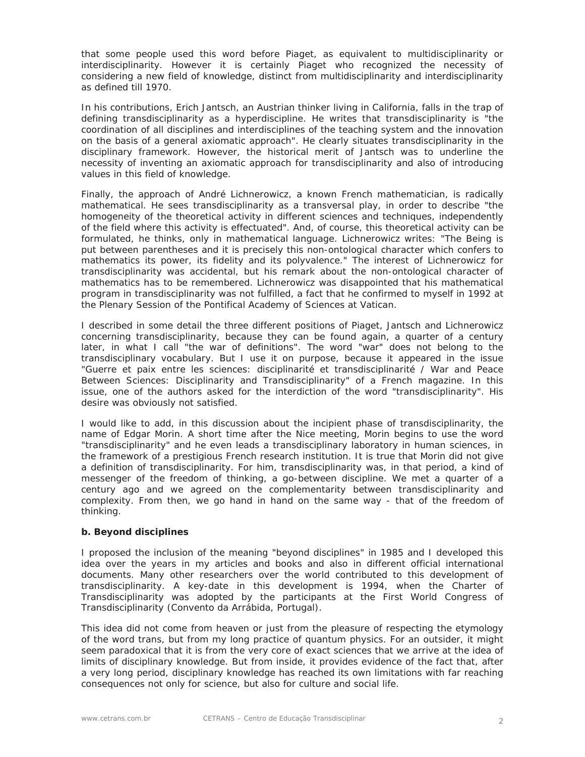that some people used this word before Piaget, as equivalent to multidisciplinarity or interdisciplinarity. However it is certainly Piaget who recognized the necessity of considering a new field of knowledge, distinct from multidisciplinarity and interdisciplinarity as defined till 1970.

In his contributions, Erich Jantsch, an Austrian thinker living in California, falls in the trap of defining transdisciplinarity as a hyperdiscipline. He writes that transdisciplinarity is "the coordination of all disciplines and interdisciplines of the teaching system and the innovation on the basis of a general axiomatic approach". He clearly situates transdisciplinarity in the disciplinary framework. However, the historical merit of Jantsch was to underline the necessity of inventing an axiomatic approach for transdisciplinarity and also of introducing values in this field of knowledge.

Finally, the approach of André Lichnerowicz, a known French mathematician, is radically mathematical. He sees transdisciplinarity as a transversal play, in order to describe "the homogeneity of the theoretical activity in different sciences and techniques, independently of the field where this activity is effectuated". And, of course, this theoretical activity can be formulated, he thinks, only in mathematical language. Lichnerowicz writes: "The Being is put between parentheses and it is precisely this non-ontological character which confers to mathematics its power, its fidelity and its polyvalence." The interest of Lichnerowicz for transdisciplinarity was accidental, but his remark about the non-ontological character of mathematics has to be remembered. Lichnerowicz was disappointed that his mathematical program in transdisciplinarity was not fulfilled, a fact that he confirmed to myself in 1992 at the Plenary Session of the Pontifical Academy of Sciences at Vatican.

I described in some detail the three different positions of Piaget, Jantsch and Lichnerowicz concerning transdisciplinarity, because they can be found again, a quarter of a century later, in what I call "the war of definitions". The word "war" does not belong to the transdisciplinary vocabulary. But I use it on purpose, because it appeared in the issue "Guerre et paix entre les sciences: disciplinarité et transdisciplinarité / War and Peace Between Sciences: Disciplinarity and Transdisciplinarity" of a French magazine. In this issue, one of the authors asked for the interdiction of the word "transdisciplinarity". His desire was obviously not satisfied.

I would like to add, in this discussion about the incipient phase of transdisciplinarity, the name of Edgar Morin. A short time after the Nice meeting, Morin begins to use the word "transdisciplinarity" and he even leads a transdisciplinary laboratory in human sciences, in the framework of a prestigious French research institution. It is true that Morin did not give a definition of transdisciplinarity. For him, transdisciplinarity was, in that period, a kind of messenger of the freedom of thinking, a go-between discipline. We met a quarter of a century ago and we agreed on the complementarity between transdisciplinarity and complexity. From then, we go hand in hand on the same way - that of the freedom of thinking.

## **b. Beyond disciplines**

I proposed the inclusion of the meaning "beyond disciplines" in 1985 and I developed this idea over the years in my articles and books and also in different official international documents. Many other researchers over the world contributed to this development of transdisciplinarity. A key-date in this development is 1994, when the Charter of Transdisciplinarity was adopted by the participants at the First World Congress of Transdisciplinarity (Convento da Arrábida, Portugal).

This idea did not come from heaven or just from the pleasure of respecting the etymology of the word *trans*, but from my long practice of quantum physics. For an outsider, it might seem paradoxical that it is from the very core of exact sciences that we arrive at the idea of limits of disciplinary knowledge. But from inside, it provides evidence of the fact that, after a very long period, disciplinary knowledge has reached its own limitations with far reaching consequences not only for science, but also for culture and social life.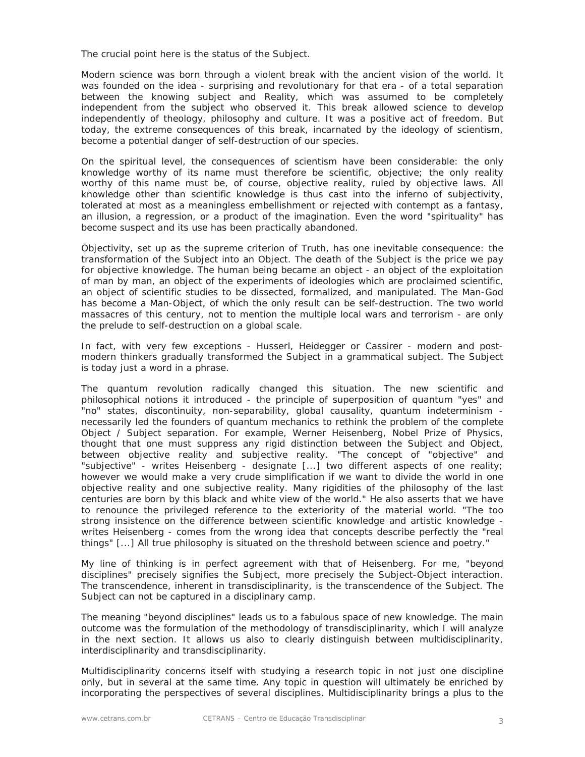The crucial point here is the status of the Subject.

Modern science was born through a violent break with the ancient vision of the world. It was founded on the idea - surprising and revolutionary for that era - of a total separation between the knowing subject and Reality, which was assumed to be completely independent from the subject who observed it. This break allowed science to develop independently of theology, philosophy and culture. It was a positive act of freedom. But today, the extreme consequences of this break, incarnated by the ideology of scientism, become a potential danger of self-destruction of our species.

On the spiritual level, the consequences of scientism have been considerable: the only knowledge worthy of its name must therefore be scientific, objective; the only reality worthy of this name must be, of course, objective reality, ruled by objective laws. All knowledge other than scientific knowledge is thus cast into the inferno of subjectivity, tolerated at most as a meaningless embellishment or rejected with contempt as a fantasy, an illusion, a regression, or a product of the imagination. Even the word "spirituality" has become suspect and its use has been practically abandoned.

Objectivity, set up as the supreme criterion of Truth, has one inevitable consequence: the transformation of the Subject into an Object. The death of the Subject is the price we pay for objective knowledge. The human being became an object - an object of the exploitation of man by man, an object of the experiments of ideologies which are proclaimed scientific, an object of scientific studies to be dissected, formalized, and manipulated. The Man-God has become a Man-Object, of which the only result can be self-destruction. The two world massacres of this century, not to mention the multiple local wars and terrorism - are only the prelude to self-destruction on a global scale.

In fact, with very few exceptions - Husserl, Heidegger or Cassirer - modern and postmodern thinkers gradually transformed the Subject in a grammatical subject. The Subject is today just a word in a phrase.

The quantum revolution radically changed this situation. The new scientific and philosophical notions it introduced - the principle of superposition of quantum "yes" and "no" states, discontinuity, non-separability, global causality, quantum indeterminism necessarily led the founders of quantum mechanics to rethink the problem of the complete Object / Subject separation. For example, Werner Heisenberg, Nobel Prize of Physics, thought that one must suppress any rigid distinction between the Subject and Object, between objective reality and subjective reality. "The concept of "objective" and "subjective" - writes Heisenberg - designate [...] two different aspects of one reality; however we would make a very crude simplification if we want to divide the world in one objective reality and one subjective reality. Many rigidities of the philosophy of the last centuries are born by this black and white view of the world." He also asserts that we have to renounce the privileged reference to the exteriority of the material world. "The too strong insistence on the difference between scientific knowledge and artistic knowledge writes Heisenberg - comes from the wrong idea that concepts describe perfectly the "real things" [...] All true philosophy is situated on the threshold between science and poetry."

My line of thinking is in perfect agreement with that of Heisenberg. For me, "beyond disciplines" precisely signifies the Subject, more precisely the Subject-Object interaction. The transcendence, inherent in transdisciplinarity, is the transcendence of the Subject. The Subject can not be captured in a disciplinary camp.

The meaning "beyond disciplines" leads us to a fabulous space of new knowledge. The main outcome was the formulation of the methodology of transdisciplinarity, which I will analyze in the next section. It allows us also to clearly distinguish between multidisciplinarity, interdisciplinarity and transdisciplinarity.

*Multidisciplinarity* concerns itself with studying a research topic in not just one discipline only, but in several at the same time. Any topic in question will ultimately be enriched by incorporating the perspectives of several disciplines. Multidisciplinarity brings a plus to the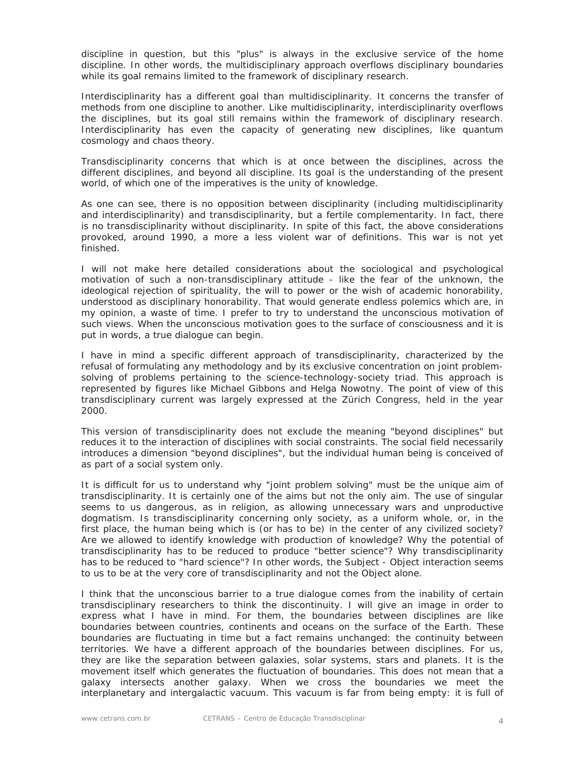discipline in question, but this "plus" is always in the exclusive service of the home discipline. In other words, the multidisciplinary approach overflows disciplinary boundaries while its goal remains limited to the framework of disciplinary research.

*Interdisciplinarity* has a different goal than multidisciplinarity. It concerns the transfer of methods from one discipline to another. Like multidisciplinarity, interdisciplinarity overflows the disciplines, but its goal still remains within the framework of disciplinary research. Interdisciplinarity has even the capacity of generating new disciplines, like quantum cosmology and chaos theory.

*Transdisciplinarity* concerns that which is at once *between* the disciplines, *across* the different disciplines, and *beyond* all discipline. Its goal is the understanding of the present world, of which one of the imperatives is the unity of knowledge.

As one can see, there is no opposition between disciplinarity (including multidisciplinarity and interdisciplinarity) and transdisciplinarity, but a fertile complementarity. In fact, there is no transdisciplinarity without disciplinarity. In spite of this fact, the above considerations provoked, around 1990, a more a less violent war of definitions. This war is not yet finished.

I will not make here detailed considerations about the sociological and psychological motivation of such a non-transdisciplinary attitude - like the fear of the unknown, the ideological rejection of spirituality, the will to power or the wish of academic honorability, understood as disciplinary honorability. That would generate endless polemics which are, in my opinion, a waste of time. I prefer to try to understand the unconscious motivation of such views. When the unconscious motivation goes to the surface of consciousness and it is put in words, a true dialogue can begin.

I have in mind a specific different approach of transdisciplinarity, characterized by the refusal of formulating any methodology and by its exclusive concentration on joint problemsolving of problems pertaining to the science-technology-society triad. This approach is represented by figures like Michael Gibbons and Helga Nowotny. The point of view of this transdisciplinary current was largely expressed at the Zürich Congress, held in the year 2000.

This version of transdisciplinarity does not exclude the meaning "beyond disciplines" but reduces it to the interaction of disciplines with social constraints. The social field necessarily introduces a dimension "beyond disciplines", but the individual human being is conceived of as part of a social system only.

It is difficult for us to understand why "joint problem solving" must be the unique aim of transdisciplinarity. It is certainly one of the aims but not the only aim. The use of singular seems to us dangerous, as in religion, as allowing unnecessary wars and unproductive dogmatism. Is transdisciplinarity concerning only society, as a uniform whole, or, in the first place, the human being which is (or has to be) in the center of any civilized society? Are we allowed to identify *knowledge* with *production of knowledge*? Why the potential of transdisciplinarity has to be reduced to produce "better science"? Why transdisciplinarity has to be reduced to "hard science"? In other words, the Subject - Object interaction seems to us to be at the very core of transdisciplinarity and not the Object alone.

I think that the unconscious barrier to a true dialogue comes from the inability of certain transdisciplinary researchers to think the discontinuity. I will give an image in order to express what I have in mind. For them, the boundaries between disciplines are like boundaries between countries, continents and oceans on the surface of the Earth. These boundaries are fluctuating in time but a fact remains unchanged: the continuity between territories. We have a different approach of the boundaries between disciplines. For us, they are like the separation between galaxies, solar systems, stars and planets. It is the movement itself which generates the fluctuation of boundaries. This does not mean that a galaxy intersects another galaxy. When we cross the boundaries we meet the interplanetary and intergalactic vacuum. This vacuum is far from being empty: it is full of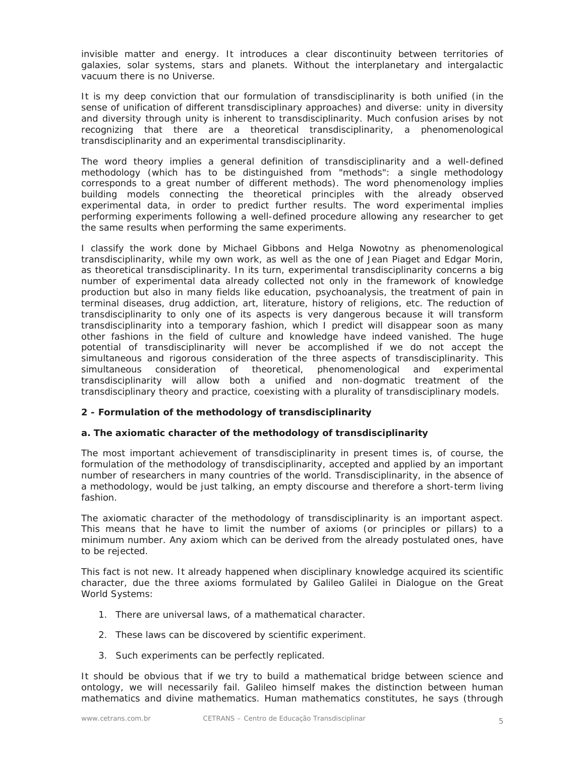invisible matter and energy. It introduces a clear discontinuity between territories of galaxies, solar systems, stars and planets. Without the interplanetary and intergalactic vacuum there is no Universe.

It is my deep conviction that our formulation of transdisciplinarity is both unified (in the sense of unification of different transdisciplinary approaches) and diverse: unity in diversity and diversity through unity is inherent to transdisciplinarity. Much confusion arises by not recognizing that there are a *theoretical transdisciplinarity*, a *phenomenological transdisciplinarity* and an *experimental transdisciplinarity*.

The word *theory* implies a general definition of transdisciplinarity and a well-defined methodology (which has to be distinguished from "methods": a single methodology corresponds to a great number of different methods). The word *phenomenology* implies building models connecting the theoretical principles with the already observed experimental data, in order to predict further results. The word *experimental* implies performing experiments following a well-defined procedure allowing any researcher to get the same results when performing the same experiments.

I classify the work done by Michael Gibbons and Helga Nowotny as phenomenological transdisciplinarity, while my own work, as well as the one of Jean Piaget and Edgar Morin, as theoretical transdisciplinarity. In its turn, experimental transdisciplinarity concerns a big number of experimental data already collected not only in the framework of knowledge production but also in many fields like education, psychoanalysis, the treatment of pain in terminal diseases, drug addiction, art, literature, history of religions, etc. The reduction of transdisciplinarity to only one of its aspects is very dangerous because it will transform transdisciplinarity into a temporary fashion, which I predict will disappear soon as many other fashions in the field of culture and knowledge have indeed vanished. The huge potential of transdisciplinarity will never be accomplished if we do not accept the simultaneous and rigorous consideration of the three aspects of transdisciplinarity. This simultaneous consideration of theoretical, phenomenological and experimental transdisciplinarity will allow both a unified and non-dogmatic treatment of the transdisciplinary theory and practice, coexisting with a plurality of transdisciplinary models.

## **2 - Formulation of the methodology of transdisciplinarity**

## **a. The axiomatic character of the methodology of transdisciplinarity**

The most important achievement of transdisciplinarity in present times is, of course, the formulation of the methodology of transdisciplinarity, accepted and applied by an important number of researchers in many countries of the world. Transdisciplinarity, in the absence of a methodology, would be just talking, an empty discourse and therefore a short-term living fashion.

The axiomatic character of the methodology of transdisciplinarity is an important aspect. This means that he have to limit the number of axioms (or principles or pillars) to a *minimum* number. Any axiom which can be derived from the already postulated ones, have to be rejected.

This fact is not new. It already happened when disciplinary knowledge acquired its scientific character, due the three axioms formulated by Galileo Galilei in *Dialogue on the Great World Systems*:

- 1. *There are universal laws, of a mathematical character.*
- 2. *These laws can be discovered by scientific experiment.*
- 3. *Such experiments can be perfectly replicated*.

It should be obvious that if we try to build a mathematical bridge between science and ontology, we will necessarily fail. Galileo himself makes the distinction between human mathematics and divine mathematics. Human mathematics constitutes, he says (through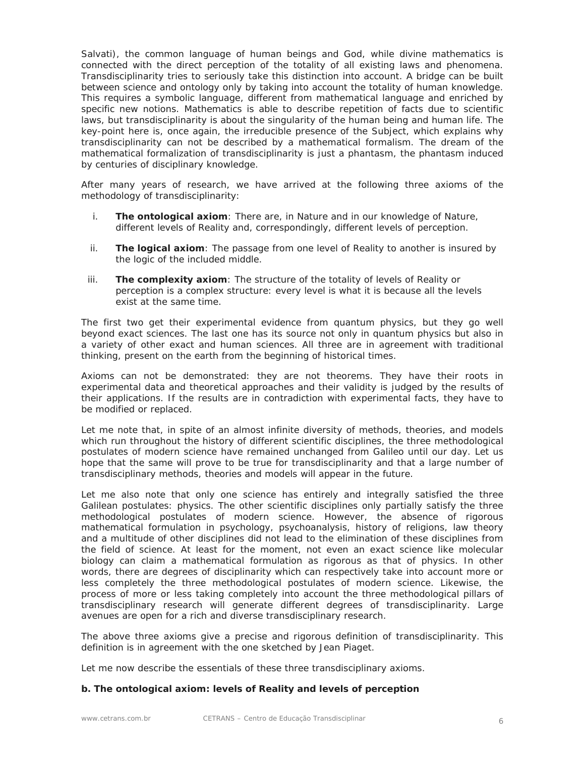Salvati), the common language of human beings and God, while divine mathematics is connected with the direct perception of the totality of all existing laws and phenomena. Transdisciplinarity tries to seriously take this distinction into account. A bridge can be built between science and ontology only by taking into account the totality of human knowledge. This requires a symbolic language, different from mathematical language and enriched by specific new notions. Mathematics is able to describe repetition of facts due to scientific laws, but transdisciplinarity is about the singularity of the human being and human life. The key-point here is, once again, the irreducible presence of the Subject, which explains why transdisciplinarity can not be described by a mathematical formalism. The dream of the mathematical formalization of transdisciplinarity is just a phantasm, the phantasm induced by centuries of disciplinary knowledge.

After many years of research, we have arrived at the following three axioms of the methodology of transdisciplinarity:

- i. **The ontological axiom**: *There are, in Nature and in our knowledge of Nature, different levels of Reality and, correspondingly, different levels of perception.*
- ii. **The logical axiom**: *The passage from one level of Reality to another is insured by the logic of the included middle.*
- iii. **The complexity axiom**: *The structure of the totality of levels of Reality or perception is a complex structure: every level is what it is because all the levels exist at the same time.*

The first two get their experimental evidence from quantum physics, but they go well beyond exact sciences. The last one has its source not only in quantum physics but also in a variety of other exact and human sciences. All three are in agreement with traditional thinking, present on the earth from the beginning of historical times.

Axioms can not be demonstrated: they are not theorems. They have their roots in experimental data and theoretical approaches and their validity is judged by the results of their applications. If the results are in contradiction with experimental facts, they have to be modified or replaced.

Let me note that, in spite of an almost infinite diversity of methods, theories, and models which run throughout the history of different scientific disciplines, the three methodological postulates of modern science have remained unchanged from Galileo until our day. Let us hope that the same will prove to be true for transdisciplinarity and that a large number of transdisciplinary methods, theories and models will appear in the future.

Let me also note that only one science has entirely and integrally satisfied the three Galilean postulates: physics. The other scientific disciplines only partially satisfy the three methodological postulates of modern science. However, the absence of rigorous mathematical formulation in psychology, psychoanalysis, history of religions, law theory and a multitude of other disciplines did not lead to the elimination of these disciplines from the field of science. At least for the moment, not even an exact science like molecular biology can claim a mathematical formulation as rigorous as that of physics. In other words, there are *degrees of disciplinarity* which can respectively take into account more or less completely the three methodological postulates of modern science. Likewise, the process of more or less taking completely into account the three methodological pillars of transdisciplinary research will generate different *degrees of transdisciplinarity.* Large avenues are open for a rich and diverse transdisciplinary research.

The above three axioms give a precise and rigorous *definition of transdisciplinarity*. This definition is in agreement with the one sketched by Jean Piaget.

Let me now describe the essentials of these three transdisciplinary axioms.

## **b. The ontological axiom: levels of Reality and levels of perception**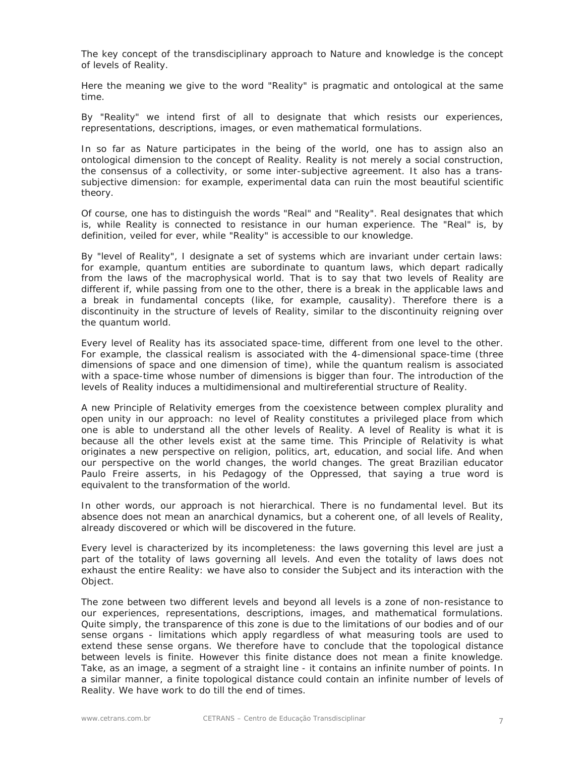The key concept of the transdisciplinary approach to Nature and knowledge is the concept of *levels of Reality*.

Here the meaning we give to the word "Reality" is pragmatic and ontological at the same time.

By "Reality" we intend first of all to designate that which *resists* our experiences, representations, descriptions, images, or even mathematical formulations.

In so far as Nature participates in the being of the world, one has to assign also an ontological dimension to the concept of Reality. Reality is not merely a social construction, the consensus of a collectivity, or some inter-subjective agreement. It also has a transsubjective dimension: for example, experimental data can ruin the most beautiful scientific theory.

Of course, one has to distinguish the words "Real" and "Reality". *Real* designates that which *is*, while *Reality* is connected to resistance in our human experience. The "Real" is, by definition, veiled for ever, while "Reality" is accessible to our knowledge.

By "level of Reality", I designate a set of systems which are invariant under certain laws: for example, quantum entities are subordinate to quantum laws, which depart radically from the laws of the macrophysical world. That is to say that two levels of Reality are different if, while passing from one to the other, there is a break in the applicable laws and a break in fundamental concepts (like, for example, causality). Therefore there is a *discontinuity* in the structure of levels of Reality, similar to the discontinuity reigning over the quantum world.

Every level of Reality has its associated space-time, different from one level to the other. For example, the classical realism is associated with the 4-dimensional space-time (three dimensions of space and one dimension of time), while the quantum realism is associated with a space-time whose number of dimensions is bigger than four. The introduction of the levels of Reality induces a multidimensional and multireferential structure of Reality.

A new *Principle of Relativity* emerges from the coexistence between complex plurality and open unity in our approach: *no level of Reality constitutes a privileged place from which one is able to understand all the other levels of Reality*. A level of Reality is what it is because all the other levels exist at the same time. This Principle of Relativity is what originates a new perspective on religion, politics, art, education, and social life. And when our perspective on the world changes, the world changes. The great Brazilian educator Paulo Freire asserts, in his *Pedagogy of the Oppressed*, that saying a true word is equivalent to the transformation of the world.

In other words, our approach is not hierarchical. There is no fundamental level. But its absence does not mean an anarchical dynamics, but a coherent one, of all levels of Reality, already discovered or which will be discovered in the future.

Every level is characterized by its *incompleteness*: the laws governing this level are just a part of the totality of laws governing all levels. And even the totality of laws does not exhaust the entire Reality: we have also to consider the Subject and its interaction with the Object.

The zone between two different levels and beyond all levels is a zone of non-resistance to our experiences, representations, descriptions, images, and mathematical formulations. Quite simply, the transparence of this zone is due to the limitations of our bodies and of our sense organs - limitations which apply regardless of what measuring tools are used to extend these sense organs. We therefore have to conclude that the topological distance between levels is finite. However this finite distance does not mean a finite knowledge. Take, as an image, a segment of a straight line - it contains an infinite number of points. In a similar manner, a finite topological distance could contain an infinite number of levels of Reality. We have work to do till the end of times.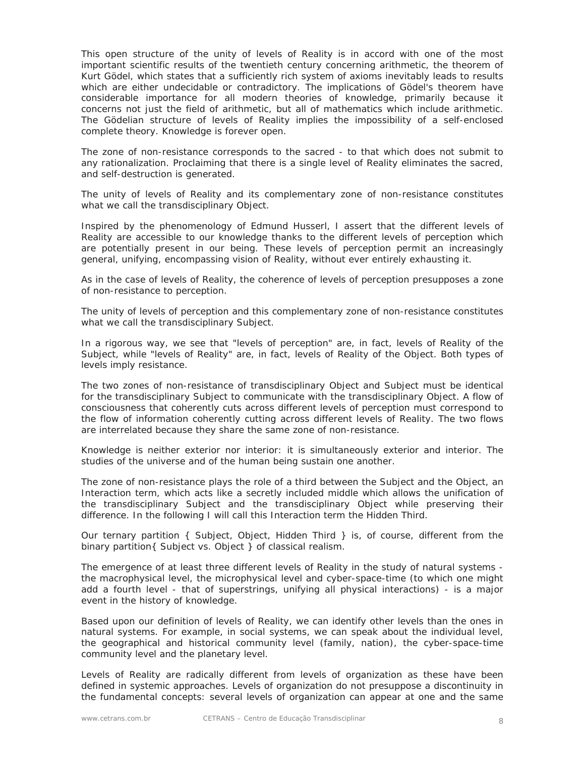This open structure of the unity of levels of Reality is in accord with one of the most important scientific results of the twentieth century concerning arithmetic, the theorem of Kurt Gödel, which states that a sufficiently rich system of axioms inevitably leads to results which are either undecidable or contradictory. The implications of Gödel's theorem have considerable importance for all modern theories of knowledge, primarily because it concerns not just the field of arithmetic, but all of mathematics which include arithmetic. The Gödelian structure of levels of Reality implies the impossibility of a self-enclosed complete theory. Knowledge is forever open.

The zone of non-resistance corresponds to the sacred - to that which does not submit to any rationalization. Proclaiming that there is a single level of Reality eliminates the sacred, and self-destruction is generated.

The unity of levels of Reality and its complementary zone of non-resistance constitutes what we call the transdisciplinary Object.

Inspired by the phenomenology of Edmund Husserl, I assert that the different levels of Reality are accessible to our knowledge thanks to the different levels of perception which are potentially present in our being. These levels of perception permit an increasingly general, unifying, encompassing vision of Reality, without ever entirely exhausting it.

As in the case of levels of Reality, the coherence of levels of perception presupposes a zone of non-resistance to perception.

The unity of levels of perception and this complementary zone of non-resistance constitutes what we call the *transdisciplinary Subject*.

In a rigorous way, we see that "levels of perception" are, in fact, *levels of Reality of the Subject*, while "levels of Reality" are, in fact, *levels of Reality of the Object.* Both types of levels imply resistance.

The two zones of non-resistance of transdisciplinary Object and Subject must be identical for the transdisciplinary Subject to communicate with the transdisciplinary Object. A flow of consciousness that coherently cuts across different levels of perception must correspond to the flow of information coherently cutting across different levels of Reality. The two flows are interrelated because they share the same zone of non-resistance.

Knowledge is neither exterior nor interior: it is simultaneously exterior and interior. The studies of the universe and of the human being sustain one another.

The zone of non-resistance plays the role of a *third* between the Subject and the Object, an Interaction term, which acts like a secretly included middle which allows the unification of the transdisciplinary Subject and the transdisciplinary Object while preserving their difference. In the following I will call this Interaction term the Hidden Third.

Our ternary partition { Subject, Object, Hidden Third } is, of course, different from the binary partition{ Subject vs. Object } of classical realism.

The emergence of at least three different levels of Reality in the study of natural systems the macrophysical level, the microphysical level and cyber-space-time (to which one might add a fourth level - that of superstrings, unifying all physical interactions) - is a major event in the history of knowledge.

Based upon our definition of levels of Reality, we can identify other levels than the ones in natural systems. For example, in social systems, we can speak about the individual level, the geographical and historical community level (family, nation), the cyber-space-time community level and the planetary level.

Levels of Reality are radically different from levels of organization as these have been defined in systemic approaches. Levels of organization do not presuppose a discontinuity in the fundamental concepts: several levels of organization can appear at one and the same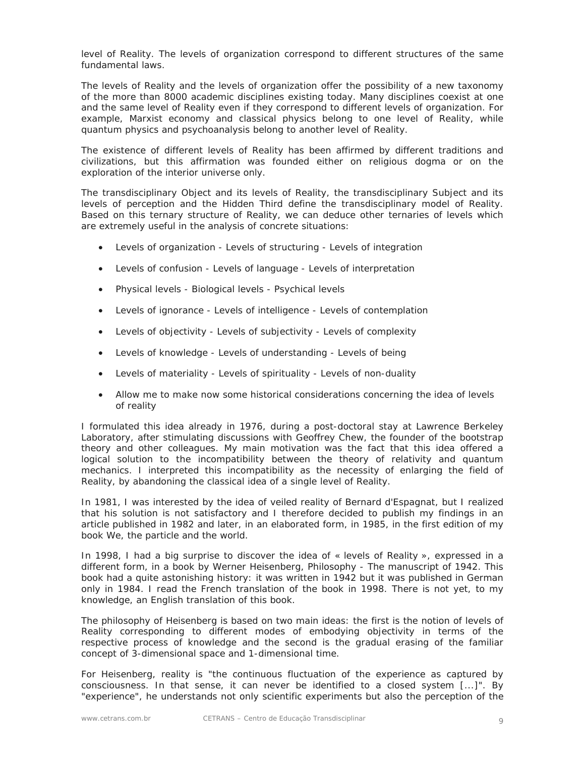level of Reality. The levels of organization correspond to different structures of the same fundamental laws.

The levels of Reality and the levels of organization offer the possibility of a new taxonomy of the more than 8000 academic disciplines existing today. Many disciplines coexist at one and the same level of Reality even if they correspond to different levels of organization. For example, Marxist economy and classical physics belong to one level of Reality, while quantum physics and psychoanalysis belong to another level of Reality.

The existence of different levels of Reality has been affirmed by different traditions and civilizations, but this affirmation was founded either on religious dogma or on the exploration of the interior universe only.

The transdisciplinary Object and its levels of Reality, the transdisciplinary Subject and its levels of perception and the Hidden Third define the transdisciplinary model of Reality. Based on this ternary structure of Reality, we can deduce other ternaries of levels which are extremely useful in the analysis of concrete situations:

- Levels of organization Levels of structuring Levels of integration
- Levels of confusion Levels of language Levels of interpretation
- Physical levels Biological levels Psychical levels
- Levels of ignorance Levels of intelligence Levels of contemplation
- Levels of objectivity Levels of subjectivity Levels of complexity
- Levels of knowledge Levels of understanding Levels of being
- Levels of materiality Levels of spirituality Levels of non-duality
- Allow me to make now some historical considerations concerning the idea of levels of reality

I formulated this idea already in 1976, during a post-doctoral stay at Lawrence Berkeley Laboratory, after stimulating discussions with Geoffrey Chew, the founder of the bootstrap theory and other colleagues. My main motivation was the fact that this idea offered a logical solution to the incompatibility between the theory of relativity and quantum mechanics. I interpreted this incompatibility as the necessity of enlarging the field of Reality, by abandoning the classical idea of a single level of Reality.

In 1981, I was interested by the idea of veiled reality of Bernard d'Espagnat, but I realized that his solution is not satisfactory and I therefore decided to publish my findings in an article published in 1982 and later, in an elaborated form, in 1985, in the first edition of my book *We, the particle and the world*.

In 1998, I had a big surprise to discover the idea of « levels of Reality », expressed in a different form, in a book by Werner Heisenberg, *Philosophy - The manuscript of 1942.* This book had a quite astonishing history: it was written in 1942 but it was published in German only in 1984. I read the French translation of the book in 1998. There is not yet, to my knowledge, an English translation of this book.

The philosophy of Heisenberg is based on two main ideas: the first is the notion of levels of Reality corresponding to different modes of embodying objectivity in terms of the respective process of knowledge and the second is the gradual erasing of the familiar concept of 3-dimensional space and 1-dimensional time.

For Heisenberg, reality is "the continuous fluctuation of the experience as captured by consciousness. In that sense, it can never be identified to a closed system [...]". By "experience", he understands not only scientific experiments but also the perception of the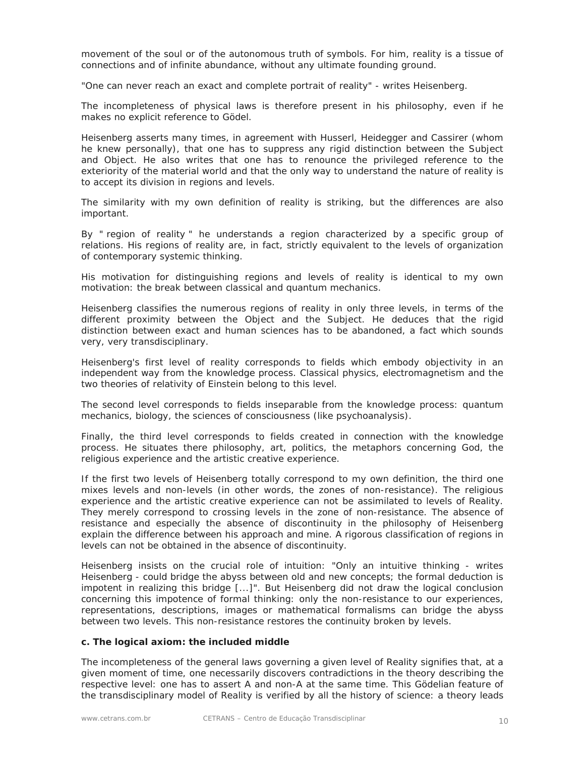movement of the soul or of the autonomous truth of symbols. For him, reality is a tissue of connections and of infinite abundance, without any ultimate founding ground.

"One can never reach an exact and complete portrait of reality" - writes Heisenberg.

The incompleteness of physical laws is therefore present in his philosophy, even if he makes no explicit reference to Gödel.

Heisenberg asserts many times, in agreement with Husserl, Heidegger and Cassirer (whom he knew personally), that one has to suppress any rigid distinction between the Subject and Object. He also writes that one has to renounce the privileged reference to the exteriority of the material world and that the only way to understand the nature of reality is to accept its division in regions and levels.

The similarity with my own definition of reality is striking, but the differences are also important.

By " region of reality " he understands a region characterized by a specific group of relations. His regions of reality are, in fact, strictly equivalent to the levels of organization of contemporary systemic thinking.

His motivation for distinguishing regions and levels of reality is identical to my own motivation: the break between classical and quantum mechanics.

Heisenberg classifies the numerous regions of reality in only three levels, in terms of the different proximity between the Object and the Subject. He deduces that the rigid distinction between exact and human sciences has to be abandoned, a fact which sounds very, very transdisciplinary.

Heisenberg's first level of reality corresponds to fields which embody objectivity in an independent way from the knowledge process. Classical physics, electromagnetism and the two theories of relativity of Einstein belong to this level.

The second level corresponds to fields inseparable from the knowledge process: quantum mechanics, biology, the sciences of consciousness (like psychoanalysis).

Finally, the third level corresponds to fields created in connection with the knowledge process. He situates there philosophy, art, politics, the metaphors concerning God, the religious experience and the artistic creative experience.

If the first two levels of Heisenberg totally correspond to my own definition, the third one mixes levels and non-levels (in other words, the zones of non-resistance). The religious experience and the artistic creative experience can not be assimilated to levels of Reality. They merely correspond to crossing levels in the zone of non-resistance. The absence of resistance and especially the absence of discontinuity in the philosophy of Heisenberg explain the difference between his approach and mine. A rigorous classification of regions in levels can not be obtained in the absence of discontinuity.

Heisenberg insists on the crucial role of intuition: "Only an intuitive thinking - writes Heisenberg - could bridge the abyss between old and new concepts; the formal deduction is impotent in realizing this bridge [...]". But Heisenberg did not draw the logical conclusion concerning this impotence of formal thinking: only the non-resistance to our experiences, representations, descriptions, images or mathematical formalisms can bridge the abyss between two levels. This non-resistance restores the continuity broken by levels.

# **c. The logical axiom: the included middle**

The incompleteness of the general laws governing a given level of Reality signifies that, at a given moment of time, one necessarily discovers contradictions in the theory describing the respective level: one has to assert A and non-A at the same time. This Gödelian feature of the transdisciplinary model of Reality is verified by all the history of science: a theory leads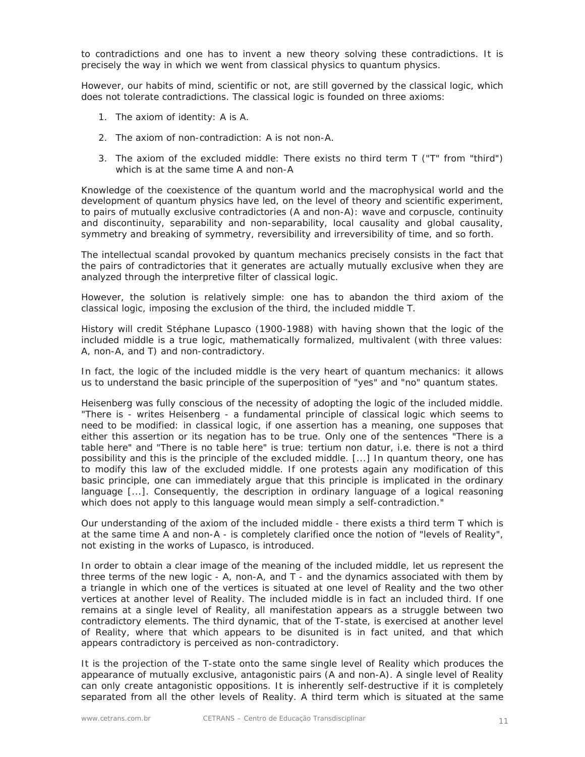to contradictions and one has to invent a new theory solving these contradictions. It is precisely the way in which we went from classical physics to quantum physics.

However, our habits of mind, scientific or not, are still governed by the classical logic, which does not tolerate contradictions. The classical logic is founded on three axioms:

- 1. *The axiom of identity*: A is A.
- 2. *The axiom of non-contradiction:* A is not non-A.
- 3. *The axiom of the excluded middle*: There exists no third term T ("T" from "third") which is at the same time A and non-A

Knowledge of the coexistence of the quantum world and the macrophysical world and the development of quantum physics have led, on the level of theory and scientific experiment, to pairs of mutually exclusive contradictories (A and non-A): wave and corpuscle, continuity and discontinuity, separability and non-separability, local causality and global causality, symmetry and breaking of symmetry, reversibility and irreversibility of time, and so forth.

The intellectual scandal provoked by quantum mechanics precisely consists in the fact that the pairs of contradictories that it generates are actually mutually exclusive when they are analyzed through the interpretive filter of classical logic.

However, the solution is relatively simple: one has to abandon the third axiom of the classical logic, imposing the exclusion of the third, the included middle T.

History will credit Stéphane Lupasco (1900-1988) with having shown that the logic of the included middle is a true logic, mathematically formalized, multivalent (with three values: A, non-A, and T) and non-contradictory.

In fact, the logic of the included middle is the very heart of quantum mechanics: it allows us to understand the basic principle of the superposition of "yes" and "no" quantum states.

Heisenberg was fully conscious of the necessity of adopting the logic of the included middle. "There is - writes Heisenberg - a fundamental principle of classical logic which seems to need to be modified: in classical logic, if one assertion has a meaning, one supposes that either this assertion or its negation has to be true. Only one of the sentences "There is a table here" and "There is no table here" is true: *tertium non datur*, i.e. there is not a third possibility and this is the principle of the excluded middle. [...] In quantum theory, one has to modify this law of the excluded middle. If one protests again any modification of this basic principle, one can immediately argue that this principle is implicated in the ordinary language [...]. Consequently, the description in ordinary language of a logical reasoning which does not apply to this language would mean simply a self-contradiction."

Our understanding of the axiom of the included middle - there exists a third term T which is at the same time A and non-A - is completely clarified once the notion of "levels of Reality", not existing in the works of Lupasco, is introduced.

In order to obtain a clear image of the meaning of the included middle, let us represent the three terms of the new logic - A, non-A, and T - and the dynamics associated with them by a triangle in which one of the vertices is situated at one level of Reality and the two other vertices at another level of Reality. The included middle is in fact an *included third*. If one remains at a single level of Reality, all manifestation appears as a struggle between two contradictory elements. The third dynamic, that of the T-state, is exercised at another level of Reality, where that which appears to be disunited is in fact united, and that which appears contradictory is perceived as non-contradictory.

It is the projection of the T-state onto the same single level of Reality which produces the appearance of mutually exclusive, antagonistic pairs (A and non-A). A single level of Reality can only create antagonistic oppositions. It is inherently self-destructive if it is completely separated from all the other levels of Reality. A third term which is situated at the same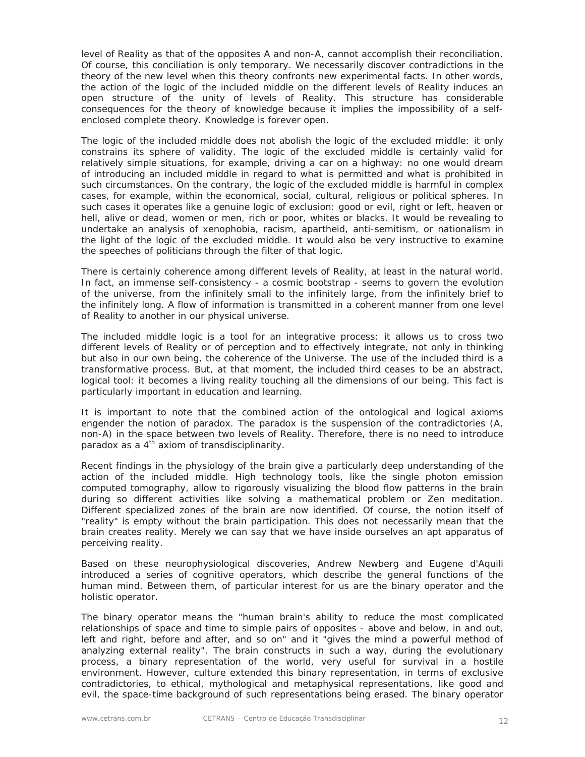level of Reality as that of the opposites A and non-A, cannot accomplish their reconciliation. Of course, this conciliation is only temporary. We necessarily discover contradictions in the theory of the new level when this theory confronts new experimental facts. In other words, the action of the logic of the included middle on the different levels of Reality induces an open structure of the unity of levels of Reality. This structure has considerable consequences for the theory of knowledge because it implies the impossibility of a selfenclosed complete theory. Knowledge is forever *open*.

The logic of the included middle does not abolish the logic of the excluded middle: it only constrains its sphere of validity. The logic of the excluded middle is certainly valid for relatively simple situations, for example, driving a car on a highway: no one would dream of introducing an included middle in regard to what is permitted and what is prohibited in such circumstances. On the contrary, the logic of the excluded middle is harmful in complex cases, for example, within the economical, social, cultural, religious or political spheres. In such cases it operates like a genuine logic of exclusion: good or evil, right or left, heaven or hell, alive or dead, women or men, rich or poor, whites or blacks. It would be revealing to undertake an analysis of xenophobia, racism, apartheid, anti-semitism, or nationalism in the light of the logic of the excluded middle. It would also be very instructive to examine the speeches of politicians through the filter of that logic.

There is certainly coherence among different levels of Reality, at least in the natural world. In fact, an immense self-consistency - a cosmic bootstrap - seems to govern the evolution of the universe, from the infinitely small to the infinitely large, from the infinitely brief to the infinitely long. A flow of information is transmitted in a coherent manner from one level of Reality to another in our physical universe.

The included middle logic is a tool for an integrative process: it allows us to cross two different levels of Reality or of perception and to effectively integrate, not only in thinking but also in our own being, the coherence of the Universe. The use of the included third is a transformative process. But, at that moment, the included third ceases to be an abstract, logical tool: it becomes a living reality touching all the dimensions of our being. This fact is particularly important in education and learning.

It is important to note that the combined action of the ontological and logical axioms engender the notion of *paradox*. The paradox is the suspension of the contradictories (A, non-A) in the space between two levels of Reality. Therefore, there is no need to introduce paradox as a  $4<sup>th</sup>$  axiom of transdisciplinarity.

Recent findings in the physiology of the brain give a particularly deep understanding of the action of the included middle. High technology tools, like the single photon emission computed tomography, allow to rigorously visualizing the blood flow patterns in the brain during so different activities like solving a mathematical problem or Zen meditation. Different specialized zones of the brain are now identified. Of course, the notion itself of "reality" is empty without the brain participation. This does not necessarily mean that the brain creates reality. Merely we can say that we have inside ourselves an apt apparatus of perceiving reality.

Based on these neurophysiological discoveries, Andrew Newberg and Eugene d'Aquili introduced a series of *cognitive operators*, which describe the general functions of the human mind. Between them, of particular interest for us are the binary operator and the holistic operator.

The binary operator means the "human brain's ability to reduce the most complicated relationships of space and time to simple pairs of opposites - above and below, in and out, left and right, before and after, and so on" and it "gives the mind a powerful method of analyzing external reality". The brain constructs in such a way, during the evolutionary process, a binary representation of the world, very useful for survival in a hostile environment. However, culture extended this binary representation, in terms of exclusive contradictories, to ethical, mythological and metaphysical representations, like good and evil, the space-time background of such representations being erased. The binary operator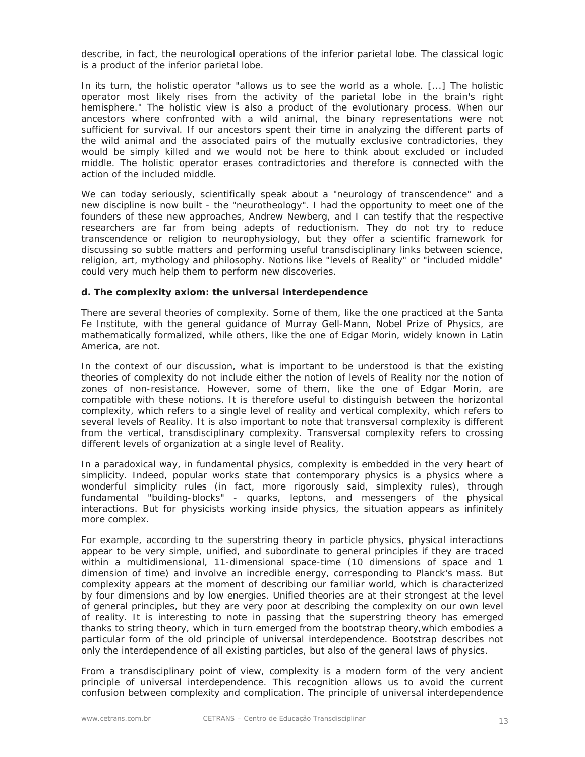describe, in fact, the neurological operations of the inferior parietal lobe. The classical logic is a product of the inferior parietal lobe.

In its turn, the *holistic operator* "allows us to see the world as a whole. [...] The holistic operator most likely rises from the activity of the parietal lobe in the brain's right hemisphere." The holistic view is also a product of the evolutionary process. When our ancestors where confronted with a wild animal, the binary representations were not sufficient for survival. If our ancestors spent their time in analyzing the different parts of the wild animal and the associated pairs of the mutually exclusive contradictories, they would be simply killed and we would not be here to think about excluded or included middle. The holistic operator erases contradictories and therefore is connected with the action of the included middle.

We can today seriously, scientifically speak about a "neurology of transcendence" and a new discipline is now built - the "neurotheology". I had the opportunity to meet one of the founders of these new approaches, Andrew Newberg, and I can testify that the respective researchers are far from being adepts of reductionism. They do not try to reduce transcendence or religion to neurophysiology, but they offer a scientific framework for discussing so subtle matters and performing useful transdisciplinary links between science, religion, art, mythology and philosophy. Notions like "levels of Reality" or "included middle" could very much help them to perform new discoveries.

#### **d. The complexity axiom: the universal interdependence**

There are several theories of complexity. Some of them, like the one practiced at the Santa Fe Institute, with the general guidance of Murray Gell-Mann, Nobel Prize of Physics, are mathematically formalized, while others, like the one of Edgar Morin, widely known in Latin America, are not.

In the context of our discussion, what is important to be understood is that the existing theories of complexity do not include either the notion of levels of Reality nor the notion of zones of non-resistance. However, some of them, like the one of Edgar Morin, are compatible with these notions. It is therefore useful to distinguish between the *horizontal complexity*, which refers to a single level of reality and *vertical complexity*, which refers to several levels of Reality. It is also important to note that *transversal complexity* is different from the vertical, transdisciplinary complexity. Transversal complexity refers to crossing different levels of organization at a single level of Reality.

In a paradoxical way, in fundamental physics, complexity is embedded in the very heart of simplicity. Indeed, popular works state that contemporary physics is a physics where a wonderful simplicity rules (in fact, more rigorously said, *simplexity* rules), through fundamental "building-blocks" - quarks, leptons, and messengers of the physical interactions. But for physicists working inside physics, the situation appears as infinitely more complex.

For example, according to the superstring theory in particle physics, physical interactions appear to be very simple, unified, and subordinate to general principles if they are traced within a multidimensional, 11-dimensional space-time (10 dimensions of space and 1 dimension of time) and involve an incredible energy, corresponding to Planck's mass. But complexity appears at the moment of describing our familiar world, which is characterized by four dimensions and by low energies. Unified theories are at their strongest at the level of general principles, but they are very poor at describing the complexity on our own level of reality. It is interesting to note in passing that the superstring theory has emerged thanks to string theory, which in turn emerged from the *bootstrap theory*,which embodies a particular form of the old principle of universal interdependence. Bootstrap describes not only the interdependence of all existing particles, but also of the general laws of physics.

From a transdisciplinary point of view, complexity is a modern form of the very ancient principle of universal interdependence. This recognition allows us to avoid the current confusion between complexity and complication. The principle of universal interdependence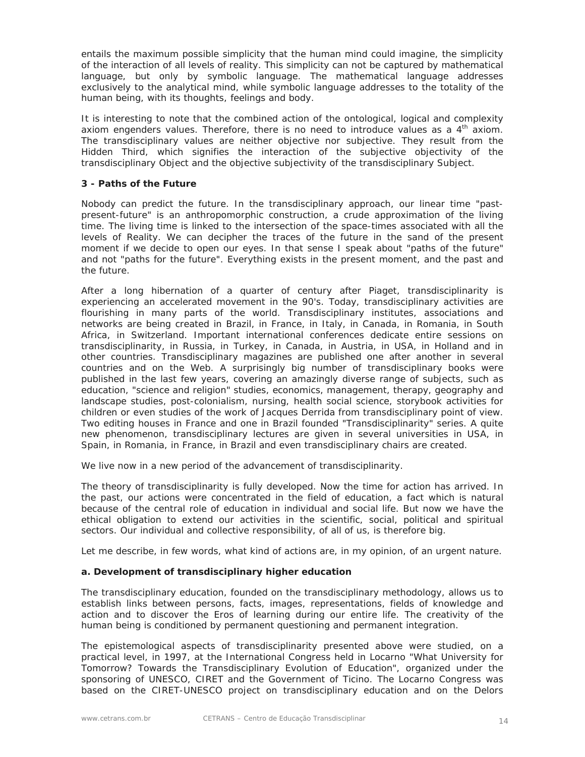entails the maximum possible simplicity that the human mind could imagine, the simplicity of the interaction of all levels of reality. This simplicity can not be captured by mathematical language, but only by symbolic language. The mathematical language addresses exclusively to the analytical mind, while symbolic language addresses to the totality of the human being, with its thoughts, feelings and body.

It is interesting to note that the combined action of the ontological, logical and complexity axiom engenders values. Therefore, there is no need to introduce values as a  $4<sup>th</sup>$  axiom. The transdisciplinary values are neither objective nor subjective. They result from the Hidden Third, which signifies the interaction of the subjective objectivity of the transdisciplinary Object and the objective subjectivity of the transdisciplinary Subject.

# **3 - Paths of the Future**

Nobody can predict the future. In the transdisciplinary approach, our linear time "pastpresent-future" is an anthropomorphic construction, a crude approximation of the *living time*. The living time is linked to the intersection of the space-times associated with all the levels of Reality. We can decipher the traces of the future in the sand of the present moment if we decide to open our eyes. In that sense I speak about "paths of the future" and not "paths for the future". Everything exists in the present moment, and the past and the future.

After a long hibernation of a quarter of century after Piaget, transdisciplinarity is experiencing an accelerated movement in the 90's. Today, transdisciplinary activities are flourishing in many parts of the world. Transdisciplinary institutes, associations and networks are being created in Brazil, in France, in Italy, in Canada, in Romania, in South Africa, in Switzerland. Important international conferences dedicate entire sessions on transdisciplinarity, in Russia, in Turkey, in Canada, in Austria, in USA, in Holland and in other countries. Transdisciplinary magazines are published one after another in several countries and on the Web. A surprisingly big number of transdisciplinary books were published in the last few years, covering an amazingly diverse range of subjects, such as education, "science and religion" studies, economics, management, therapy, geography and landscape studies, post-colonialism, nursing, health social science, storybook activities for children or even studies of the work of Jacques Derrida from transdisciplinary point of view. Two editing houses in France and one in Brazil founded "Transdisciplinarity" series. A quite new phenomenon, transdisciplinary lectures are given in several universities in USA, in Spain, in Romania, in France, in Brazil and even transdisciplinary chairs are created.

We live now in a new period of the advancement of transdisciplinarity.

The theory of transdisciplinarity is fully developed. Now the time for action has arrived. In the past, our actions were concentrated in the field of education, a fact which is natural because of the central role of education in individual and social life. But now we have the ethical obligation to extend our activities in the scientific, social, political and spiritual sectors. Our individual and collective responsibility, of all of us, is therefore big.

Let me describe, in few words, what kind of actions are, in my opinion, of an urgent nature.

## **a. Development of transdisciplinary higher education**

The transdisciplinary education, founded on the transdisciplinary methodology, allows us to establish links between persons, facts, images, representations, fields of knowledge and action and to discover the Eros of learning during our entire life. The creativity of the human being is conditioned by permanent questioning and permanent integration.

The epistemological aspects of transdisciplinarity presented above were studied, on a practical level, in 1997, at the International Congress held in Locarno "What University for Tomorrow? Towards the Transdisciplinary Evolution of Education", organized under the sponsoring of UNESCO, CIRET and the Government of Ticino. The Locarno Congress was based on the CIRET-UNESCO project on transdisciplinary education and on the Delors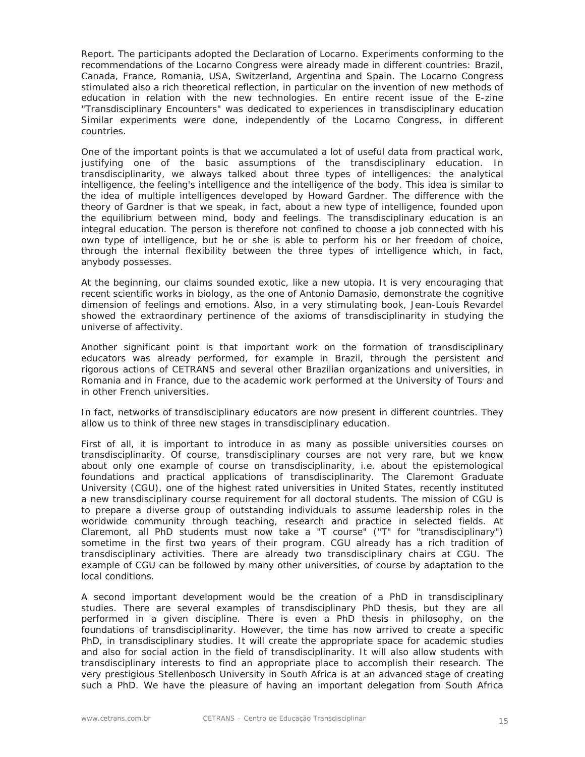Report. The participants adopted the Declaration of Locarno. Experiments conforming to the recommendations of the Locarno Congress were already made in different countries: Brazil, Canada, France, Romania, USA, Switzerland, Argentina and Spain. The Locarno Congress stimulated also a rich theoretical reflection, in particular on the invention of new methods of education in relation with the new technologies. En entire recent issue of the E-zine "Transdisciplinary Encounters" was dedicated to experiences in transdisciplinary education Similar experiments were done, independently of the Locarno Congress, in different countries.

One of the important points is that we accumulated a lot of useful data from practical work, justifying one of the basic assumptions of the transdisciplinary education. In transdisciplinarity, we always talked about three types of intelligences: the analytical intelligence, the feeling's intelligence and the intelligence of the body. This idea is similar to the idea of multiple intelligences developed by Howard Gardner. The difference with the theory of Gardner is that we speak, in fact, about a new type of intelligence, founded upon the equilibrium between mind, body and feelings. The transdisciplinary education is an *integral education*. The person is therefore not confined to choose a job connected with his own type of intelligence, but he or she is able to perform his or her freedom of choice, through the internal flexibility between the three types of intelligence which, in fact, anybody possesses.

At the beginning, our claims sounded exotic, like a new utopia. It is very encouraging that recent scientific works in biology, as the one of Antonio Damasio, demonstrate the cognitive dimension of feelings and emotions. Also, in a very stimulating book, Jean-Louis Revardel showed the extraordinary pertinence of the axioms of transdisciplinarity in studying the universe of affectivity.

Another significant point is that important work on the formation of transdisciplinary educators was already performed, for example in Brazil, through the persistent and rigorous actions of CETRANS and several other Brazilian organizations and universities, in Romania and in France, due to the academic work performed at the University of Tours' and in other French universities.

In fact, networks of transdisciplinary educators are now present in different countries. They allow us to think of three new stages in transdisciplinary education.

First of all, it is important to introduce in as many as possible universities courses on transdisciplinarity. Of course, transdisciplinary courses are not very rare, but we know about only one example of course *on* transdisciplinarity, i.e. about the epistemological foundations and practical applications of transdisciplinarity. The Claremont Graduate University (CGU), one of the highest rated universities in United States, recently instituted a new transdisciplinary course requirement for all doctoral students. The mission of CGU is to prepare a diverse group of outstanding individuals to assume leadership roles in the worldwide community through teaching, research and practice in selected fields. At Claremont, all PhD students must now take a "T course" ("T" for "transdisciplinary") sometime in the first two years of their program. CGU already has a rich tradition of transdisciplinary activities. There are already two transdisciplinary chairs at CGU. The example of CGU can be followed by many other universities, of course by adaptation to the local conditions.

A second important development would be the creation of a PhD in transdisciplinary studies. There are several examples of transdisciplinary PhD thesis, but they are all performed in a given discipline. There is even a PhD thesis in philosophy, on the foundations of transdisciplinarity. However, the time has now arrived to create a specific PhD, in transdisciplinary studies. It will create the appropriate space for academic studies and also for social action in the field of transdisciplinarity. It will also allow students with transdisciplinary interests to find an appropriate place to accomplish their research. The very prestigious Stellenbosch University in South Africa is at an advanced stage of creating such a PhD. We have the pleasure of having an important delegation from South Africa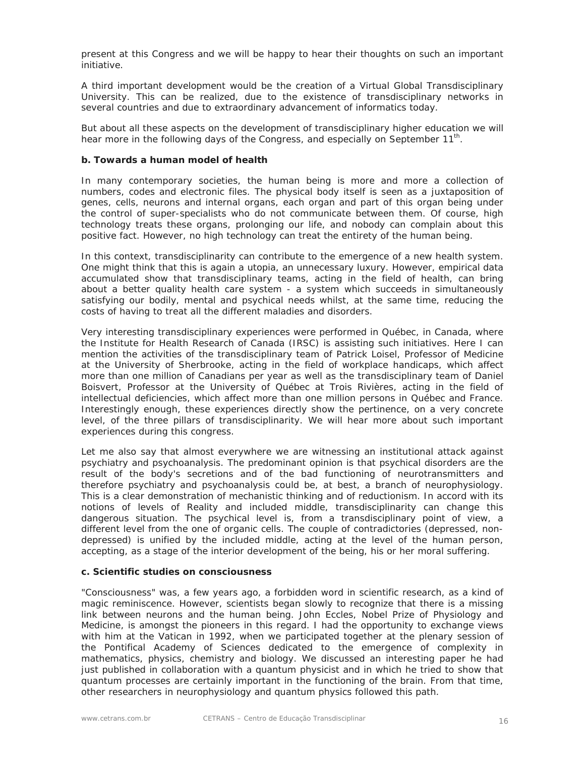present at this Congress and we will be happy to hear their thoughts on such an important initiative.

A third important development would be the creation of a Virtual Global Transdisciplinary University. This can be realized, due to the existence of transdisciplinary networks in several countries and due to extraordinary advancement of informatics today.

But about all these aspects on the development of transdisciplinary higher education we will hear more in the following days of the Congress, and especially on September  $11<sup>th</sup>$ .

# **b. Towards a human model of health**

In many contemporary societies, the human being is more and more a collection of numbers, codes and electronic files. The physical body itself is seen as a juxtaposition of genes, cells, neurons and internal organs, each organ and part of this organ being under the control of super-specialists who do not communicate between them. Of course, high technology treats these organs, prolonging our life, and nobody can complain about this positive fact. However, no high technology can treat the entirety of the human being.

In this context, transdisciplinarity can contribute to the emergence of a new health system. One might think that this is again a utopia, an unnecessary luxury. However, empirical data accumulated show that transdisciplinary teams, acting in the field of health, can bring about a better quality health care system - a system which succeeds in simultaneously satisfying our bodily, mental and psychical needs whilst, at the same time, reducing the costs of having to treat all the different maladies and disorders.

Very interesting transdisciplinary experiences were performed in Québec, in Canada, where the Institute for Health Research of Canada (IRSC) is assisting such initiatives. Here I can mention the activities of the transdisciplinary team of Patrick Loisel, Professor of Medicine at the University of Sherbrooke, acting in the field of workplace handicaps, which affect more than one million of Canadians per year as well as the transdisciplinary team of Daniel Boisvert, Professor at the University of Québec at Trois Rivières, acting in the field of intellectual deficiencies, which affect more than one million persons in Québec and France. Interestingly enough, these experiences directly show the pertinence, on a very concrete level, of the three pillars of transdisciplinarity. We will hear more about such important experiences during this congress.

Let me also say that almost everywhere we are witnessing an institutional attack against psychiatry and psychoanalysis. The predominant opinion is that psychical disorders are the result of the body's secretions and of the bad functioning of neurotransmitters and therefore psychiatry and psychoanalysis could be, at best, a branch of neurophysiology. This is a clear demonstration of mechanistic thinking and of reductionism. In accord with its notions of levels of Reality and included middle, transdisciplinarity can change this dangerous situation. The psychical level is, from a transdisciplinary point of view, a different level from the one of organic cells. The couple of contradictories (depressed, nondepressed) is unified by the included middle, acting at the level of the human person, accepting, as a stage of the interior development of the being, his or her moral suffering.

#### **c. Scientific studies on consciousness**

"Consciousness" was, a few years ago, a forbidden word in scientific research, as a kind of magic reminiscence. However, scientists began slowly to recognize that there is a missing link between neurons and the human being. John Eccles, Nobel Prize of Physiology and Medicine, is amongst the pioneers in this regard. I had the opportunity to exchange views with him at the Vatican in 1992, when we participated together at the plenary session of the Pontifical Academy of Sciences dedicated to the emergence of complexity in mathematics, physics, chemistry and biology. We discussed an interesting paper he had just published in collaboration with a quantum physicist and in which he tried to show that quantum processes are certainly important in the functioning of the brain. From that time, other researchers in neurophysiology and quantum physics followed this path.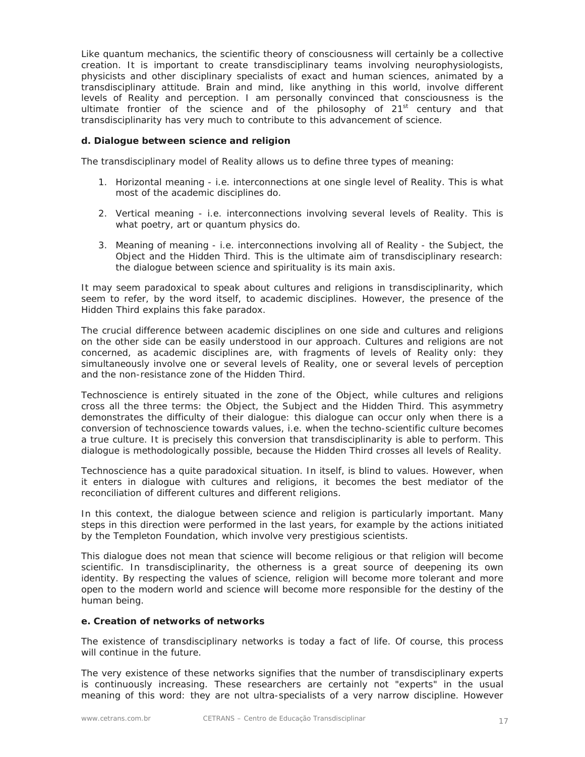Like quantum mechanics, the scientific theory of consciousness will certainly be a collective creation. It is important to create transdisciplinary teams involving neurophysiologists, physicists and other disciplinary specialists of exact and human sciences, animated by a transdisciplinary attitude. Brain and mind, like anything in this world, involve different levels of Reality and perception. I am personally convinced that consciousness is the ultimate frontier of the science and of the philosophy of  $21<sup>st</sup>$  century and that transdisciplinarity has very much to contribute to this advancement of science.

#### **d. Dialogue between science and religion**

The transdisciplinary model of Reality allows us to define three types of meaning:

- 1. *Horizontal meaning* i.e. interconnections at one single level of Reality. This is what most of the academic disciplines do.
- 2. *Vertical meaning* i.e. interconnections involving several levels of Reality. This is what poetry, art or quantum physics do.
- 3. *Meaning of meaning* i.e. interconnections involving all of Reality the Subject, the Object and the Hidden Third. This is the ultimate aim of transdisciplinary research: the dialogue between science and spirituality is its main axis.

It may seem paradoxical to speak about cultures and religions in transdisciplinarity, which seem to refer, by the word itself, to academic disciplines. However, the presence of the Hidden Third explains this fake paradox.

The crucial difference between academic disciplines on one side and cultures and religions on the other side can be easily understood in our approach. Cultures and religions are not concerned, as academic disciplines are, with fragments of levels of Reality only: they simultaneously involve one or several levels of Reality, one or several levels of perception *and* the non-resistance zone of the Hidden Third.

Technoscience is entirely situated in the zone of the Object, while cultures and religions cross all the three terms: the Object, the Subject and the Hidden Third. This asymmetry demonstrates the difficulty of their dialogue: this dialogue can occur only when there is a *conversion* of technoscience towards values, i.e. when the techno-scientific culture becomes a true culture. It is precisely this conversion that transdisciplinarity is able to perform. This dialogue is methodologically possible, because the Hidden Third crosses all levels of Reality.

Technoscience has a quite paradoxical situation. In itself, is blind to values. However, when it enters in dialogue with cultures and religions, it becomes the best mediator of the reconciliation of different cultures and different religions.

In this context, the dialogue between science and religion is particularly important. Many steps in this direction were performed in the last years, for example by the actions initiated by the Templeton Foundation, which involve very prestigious scientists.

This dialogue does not mean that science will become religious or that religion will become scientific. In transdisciplinarity, the *otherness* is a great source of deepening its own identity. By respecting the values of science, religion will become more tolerant and more open to the modern world and science will become more responsible for the destiny of the human being.

#### **e. Creation of networks of networks**

The existence of transdisciplinary networks is today a fact of life. Of course, this process will continue in the future.

The very existence of these networks signifies that the number of transdisciplinary experts is continuously increasing. These researchers are certainly not "experts" in the usual meaning of this word: they are not ultra-specialists of a very narrow discipline. However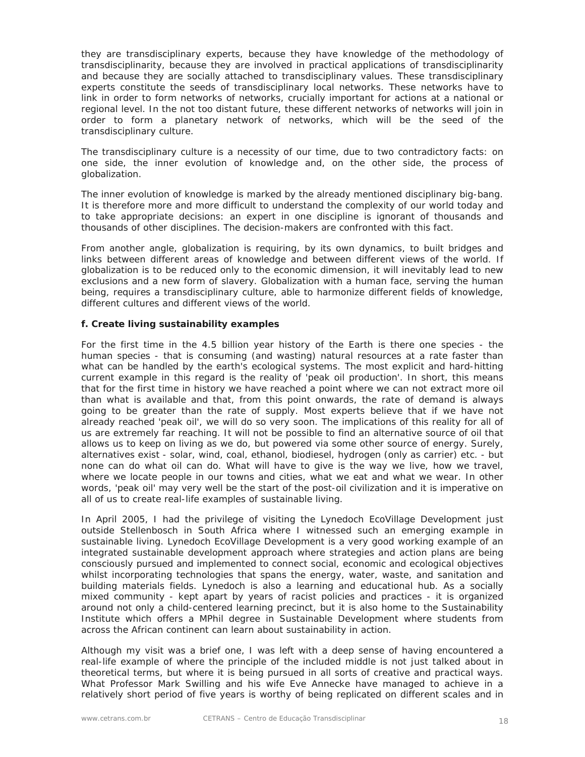they are transdisciplinary experts, because they have knowledge of the methodology of transdisciplinarity, because they are involved in practical applications of transdisciplinarity and because they are socially attached to transdisciplinary values. These transdisciplinary experts constitute the seeds of transdisciplinary local networks. These networks have to link in order to form networks of networks, crucially important for actions at a national or regional level. In the not too distant future, these different networks of networks will join in order to form a planetary network of networks, which will be the seed of the transdisciplinary culture.

The transdisciplinary culture is a necessity of our time, due to two contradictory facts: on one side, the inner evolution of knowledge and, on the other side, the process of globalization.

The inner evolution of knowledge is marked by the already mentioned disciplinary big-bang. It is therefore more and more difficult to understand the complexity of our world today and to take appropriate decisions: an expert in one discipline is ignorant of thousands and thousands of other disciplines. The decision-makers are confronted with this fact.

From another angle, globalization is requiring, by its own dynamics, to built bridges and links between different areas of knowledge and between different views of the world. If globalization is to be reduced only to the economic dimension, it will inevitably lead to new exclusions and a new form of slavery. Globalization with a human face, serving the human being, requires a transdisciplinary culture, able to harmonize different fields of knowledge, different cultures and different views of the world.

## **f. Create living sustainability examples**

For the first time in the 4.5 billion year history of the Earth is there one species - the human species - that is consuming (and wasting) natural resources at a rate faster than what can be handled by the earth's ecological systems. The most explicit and hard-hitting current example in this regard is the reality of 'peak oil production'. In short, this means that for the first time in history we have reached a point where we can not extract more oil than what is available and that, from this point onwards, the rate of demand is always going to be greater than the rate of supply. Most experts believe that if we have not already reached 'peak oil', we will do so very soon. The implications of this reality for all of us are extremely far reaching. It will not be possible to find an alternative source of oil that allows us to keep on living as we do, but powered via some other source of energy. Surely, alternatives exist - solar, wind, coal, ethanol, biodiesel, hydrogen (only as carrier) etc. - but none can do what oil can do. What will have to give is the way we live, how we travel, where we locate people in our towns and cities, what we eat and what we wear. In other words, 'peak oil' may very well be the start of the post-oil civilization and it is imperative on all of us to create real-life examples of sustainable living.

In April 2005, I had the privilege of visiting the Lynedoch EcoVillage Development just outside Stellenbosch in South Africa where I witnessed such an emerging example in sustainable living. Lynedoch EcoVillage Development is a very good working example of an *integrated sustainable development* approach where strategies and action plans are being consciously pursued and implemented to *connect* social, economic and ecological objectives whilst incorporating technologies that spans the energy, water, waste, and sanitation and building materials fields. Lynedoch is also a learning and educational hub. As a socially mixed community - kept apart by years of racist policies and practices - it is organized around not only a child-centered learning precinct, but it is also home to the *Sustainability Institute* which offers a MPhil degree in Sustainable Development where students from across the African continent can learn about sustainability in action.

Although my visit was a brief one, I was left with a deep sense of having encountered a real-life example of where the principle of the included middle is not just talked about in theoretical terms, but where it is being pursued in all sorts of creative and practical ways. What Professor Mark Swilling and his wife Eve Annecke have managed to achieve in a relatively short period of five years is worthy of being replicated on different scales and in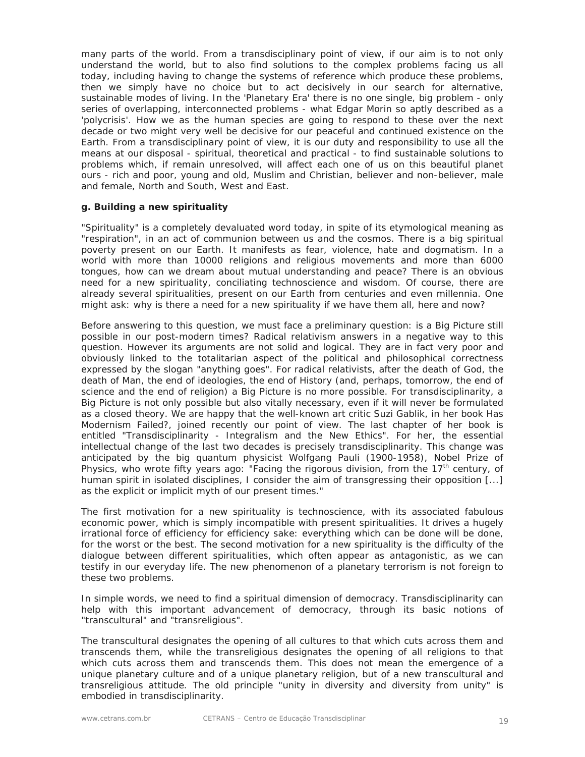many parts of the world. From a transdisciplinary point of view, if our aim is to not only understand the world, but to also find solutions to the complex problems facing us all today, including having to change the systems of reference which produce these problems, then we simply have no choice but to act decisively in our search for alternative, sustainable modes of living. In the 'Planetary Era' there is no one single, big problem - only series of overlapping, interconnected problems - what Edgar Morin so aptly described as a 'polycrisis'. How we as the human species are going to respond to these over the next decade or two might very well be decisive for our peaceful and continued existence on the Earth. From a transdisciplinary point of view, it is our duty and responsibility to use all the means at our disposal - spiritual, theoretical and practical - to find sustainable solutions to problems which, if remain unresolved, will affect each one of us on this beautiful planet ours - rich and poor, young and old, Muslim and Christian, believer and non-believer, male and female, North and South, West and East.

## **g. Building a new spirituality**

"Spirituality" is a completely devaluated word today, in spite of its etymological meaning as "respiration", in an act of communion between us and the cosmos. There is a big spiritual poverty present on our Earth. It manifests as fear, violence, hate and dogmatism. In a world with more than 10000 religions and religious movements and more than 6000 tongues, how can we dream about mutual understanding and peace? There is an obvious need for a new spirituality, conciliating technoscience and wisdom. Of course, there are already several spiritualities, present on our Earth from centuries and even millennia. One might ask: why is there a need for a new spirituality if we have them all, here and now?

Before answering to this question, we must face a preliminary question: is a Big Picture still possible in our post-modern times? Radical relativism answers in a negative way to this question. However its arguments are not solid and logical. They are in fact very poor and obviously linked to the totalitarian aspect of the political and philosophical correctness expressed by the slogan "anything goes". For radical relativists, after the death of God, the death of Man, the end of ideologies, the end of History (and, perhaps, tomorrow, the end of science and the end of religion) a Big Picture is no more possible. For transdisciplinarity, a Big Picture is not only possible but also vitally necessary, even if it will never be formulated as a closed theory. We are happy that the well-known art critic Suzi Gablik, in her book *Has Modernism Failed?*, joined recently our point of view. The last chapter of her book is entitled "Transdisciplinarity - Integralism and the New Ethics". For her, the essential intellectual change of the last two decades is precisely transdisciplinarity. This change was anticipated by the big quantum physicist Wolfgang Pauli (1900-1958), Nobel Prize of Physics, who wrote fifty years ago: "Facing the rigorous division, from the  $17<sup>th</sup>$  century, of human spirit in isolated disciplines, I consider the aim of transgressing their opposition [...] as the explicit or implicit myth of our present times."

The first motivation for a new spirituality is technoscience, with its associated fabulous economic power, which is simply incompatible with present spiritualities. It drives a hugely irrational force of efficiency for efficiency sake: everything which can be done will be done, for the worst or the best. The second motivation for a new spirituality is the difficulty of the dialogue between different spiritualities, which often appear as antagonistic, as we can testify in our everyday life. The new phenomenon of a planetary terrorism is not foreign to these two problems.

In simple words, we need to find a spiritual dimension of democracy. Transdisciplinarity can help with this important advancement of democracy, through its basic notions of "transcultural" and "transreligious".

The *transcultural* designates the opening of all cultures to that which cuts across them and transcends them, while the *transreligious* designates the opening of all religions to that which cuts across them and transcends them. This does not mean the emergence of a unique planetary culture and of a unique planetary religion, but of a new *transcultural and transreligious attitude*. The old principle "unity in diversity and diversity from unity" is embodied in transdisciplinarity.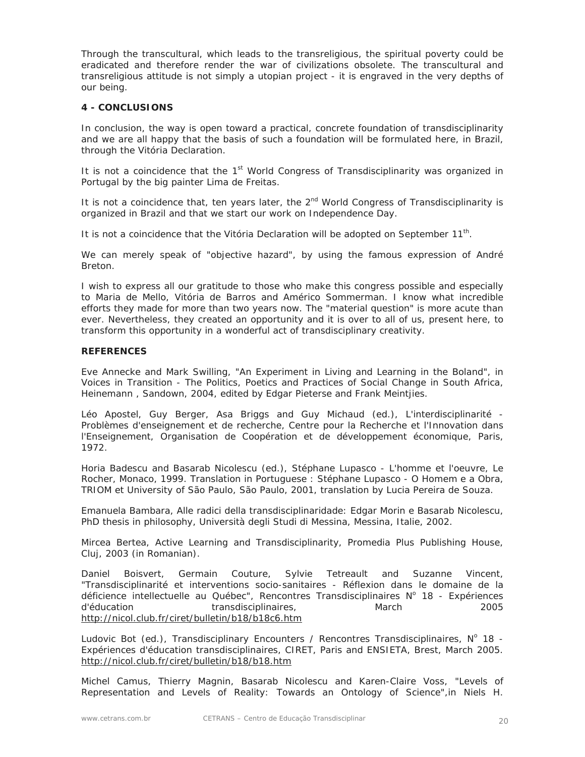Through the transcultural, which leads to the transreligious, the spiritual poverty could be eradicated and therefore render the war of civilizations obsolete. The transcultural and transreligious attitude is not simply a utopian project - it is engraved in the very depths of our being.

## **4 - CONCLUSIONS**

In conclusion, the way is open toward a practical, concrete foundation of transdisciplinarity and we are all happy that the basis of such a foundation will be formulated here, in Brazil, through the *Vitória Declaration*.

It is not a coincidence that the  $1<sup>st</sup>$  World Congress of Transdisciplinarity was organized in Portugal by the big painter Lima de Freitas.

It is not a coincidence that, ten years later, the  $2^{nd}$  World Congress of Transdisciplinarity is organized in Brazil and that we start our work on Independence Day.

It is not a coincidence that the *Vitória Declaration* will be adopted on September 11th.

We can merely speak of "objective hazard", by using the famous expression of André Breton.

I wish to express all our gratitude to those who make this congress possible and especially to Maria de Mello, Vitória de Barros and Américo Sommerman. I know what incredible efforts they made for more than two years now. The "material question" is more acute than ever. Nevertheless, they created an opportunity and it is over to all of us, present here, to transform this opportunity in a wonderful act of transdisciplinary creativity.

#### **REFERENCES**

Eve Annecke and Mark Swilling, "An Experiment in Living and Learning in the Boland", in *Voices in Transition - The Politics, Poetics and Practices of Social Change in South Africa*, Heinemann , Sandown, 2004, edited by Edgar Pieterse and Frank Meintjies.

Léo Apostel, Guy Berger, Asa Briggs and Guy Michaud (ed.), *L'interdisciplinarité - Problèmes d'enseignement et de recherche*, Centre pour la Recherche et l'Innovation dans l'Enseignement, Organisation de Coopération et de développement économique, Paris, 1972.

Horia Badescu and Basarab Nicolescu (ed.), *Stéphane Lupasco - L'homme et l'oeuvre,* Le Rocher, Monaco, 1999. Translation in Portuguese : *Stéphane Lupasco - O Homem e a Obra*, TRIOM et University of São Paulo, São Paulo, 2001, translation by Lucia Pereira de Souza.

Emanuela Bambara, *Alle radici della transdisciplinaridade: Edgar Morin e Basarab Nicolescu*, PhD thesis in philosophy, Università degli Studi di Messina, Messina, Italie, 2002.

Mircea Bertea, *Active Learning and Transdisciplinarity*, Promedia Plus Publishing House, Cluj, 2003 (in Romanian).

Daniel Boisvert, Germain Couture, Sylvie Tetreault and Suzanne Vincent, "Transdisciplinarité et interventions socio-sanitaires - Réflexion dans le domaine de la déficience intellectuelle au Québec", Rencontres Transdisciplinaires Nº 18 - Expériences d'éducation transdisciplinaires, March 200[5](http://nicol.club.fr/ciret/bulletin/b9et10.htm) [http://nicol.club.fr/ciret/bulletin/b18/b18c6.htm](http://nicol.club.fr/ciret/bulletin/b9et10.htm)

Ludovic Bot (ed.), Transdisciplinary Encounters / Rencontres Transdisciplinaires,  $N^{\circ}$  18 -*Expériences d'éducation transdisciplinaires,* CIRET, Paris and ENSIETA, Brest, March 2005. [http://nicol.club.fr/ciret/bulletin/b18/b18.htm](http://nicol.club.fr/ciret/bulletin/b9et10.htm)

Michel Camus, Thierry Magnin, Basarab Nicolescu and Karen-Claire Voss, "Levels of Representation and Levels of Reality: Towards an Ontology of Science",in Niels H.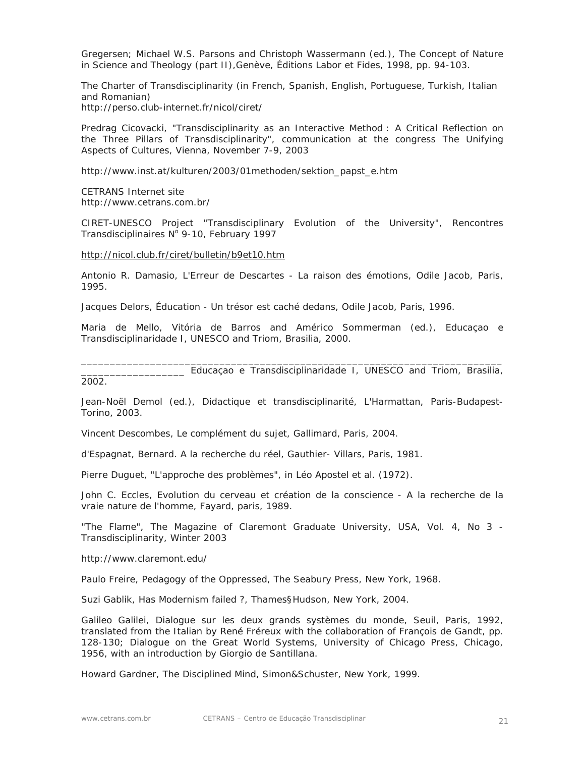Gregersen; Michael W.S. Parsons and Christoph Wassermann (ed.), *The Concept of Nature in Science and Theology (part II)*,Genève, Éditions Labor et Fides, 1998, pp. 94-103.

The Charter of Transdisciplinarity (in French, Spanish, English, Portuguese, Turkish, Italian and Romanian) http://perso.club-internet.fr/nicol/ciret/

Predrag Cicovacki, "Transdisciplinarity as an Interactive Method : A Critical Reflection on the Three Pillars of Transdisciplinarity", communication at the congress The Unifying Aspects of Cultures, Vienna, November 7-9, 2003

http://www.inst.at/kulturen/2003/01methoden/sektion\_papst\_e.htm

CETRANS Internet site http://www.cetrans.com.br/

CIRET-UNESCO Project "Transdisciplinary Evolution of the University", *Rencontres*  Transdisciplinaires Nº 9-10, February 1997

#### <http://nicol.club.fr/ciret/bulletin/b9et10.htm>

Antonio R. Damasio, *L'Erreur de Descartes - La raison des émotions*, Odile Jacob, Paris, 1995.

Jacques Delors, *Éducation - Un trésor est caché dedans*, Odile Jacob, Paris, 1996.

Maria de Mello, Vitória de Barros and Américo Sommerman (ed.), *Educaçao e Transdisciplinaridade* I, UNESCO and Triom, Brasilia, 2000.

\_\_\_\_\_\_\_\_\_\_\_\_\_\_\_\_\_\_\_\_\_\_\_\_\_\_\_\_\_\_\_\_\_\_\_\_\_\_\_\_\_\_\_\_\_\_\_\_\_\_\_\_\_\_\_\_\_\_\_\_\_\_\_\_\_\_\_\_\_\_\_\_\_ \_\_\_\_\_\_\_\_\_\_\_\_\_\_\_\_\_\_ *Educaçao e Transdisciplinaridade* I, UNESCO and Triom, Brasilia, 2002.

Jean-Noël Demol (ed.), *Didactique et transdisciplinarité*, L'Harmattan, Paris-Budapest-Torino, 2003.

Vincent Descombes, *Le complément du sujet*, Gallimard, Paris, 2004.

d'Espagnat, Bernard. *A la recherche du réel,* Gauthier- Villars, Paris, 1981.

Pierre Duguet, "L'approche des problèmes", in Léo Apostel et al. (1972).

John C. Eccles, *Evolution du cerveau et création de la conscience - A la recherche de la vraie nature de l'homme*, Fayard, paris, 1989.

"The Flame", The Magazine of Claremont Graduate University, USA, Vol. 4, No 3 - *Transdisciplinarity*, Winter 2003

http://www.claremont.edu/

Paulo Freire, *Pedagogy of the Oppressed*, The Seabury Press, New York, 1968.

Suzi Gablik, *Has Modernism failed* ?, Thames§Hudson, New York, 2004.

Galileo Galilei, *Dialogue sur les deux grands systèmes du monde*, Seuil, Paris, 1992, translated from the Italian by René Fréreux with the collaboration of François de Gandt, pp. 128-130; *Dialogue on the Great World Systems*, University of Chicago Press, Chicago, 1956, with an introduction by Giorgio de Santillana.

Howard Gardner, *The Disciplined Mind,* Simon&Schuster, New York, 1999.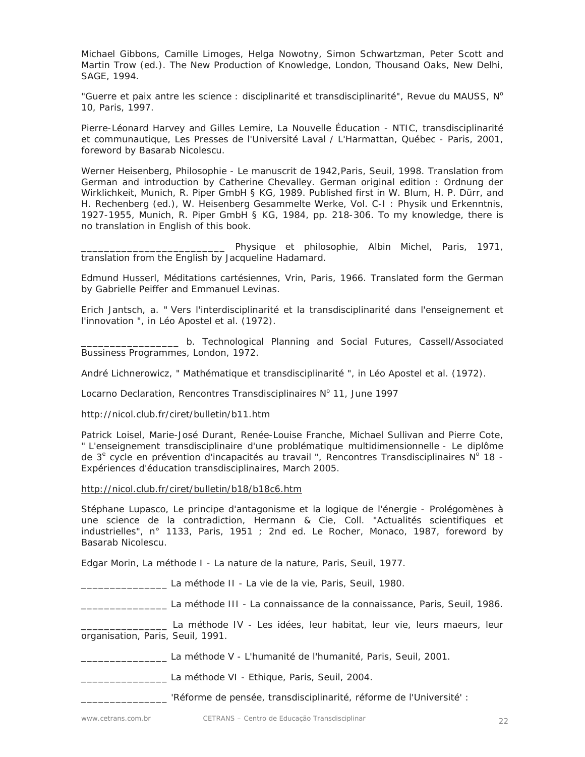Michael Gibbons, Camille Limoges, Helga Nowotny, Simon Schwartzman, Peter Scott and Martin Trow (ed.). *The New Production of Knowledge*, London, Thousand Oaks, New Delhi, SAGE, 1994.

"Guerre et paix antre les science : disciplinarité et transdisciplinarité", Revue du MAUSS,  $N^{\circ}$ 10, Paris, 1997.

Pierre-Léonard Harvey and Gilles Lemire, *La Nouvelle Éducation - NTIC, transdisciplinarité et communautique*, Les Presses de l'Université Laval / L'Harmattan, Québec - Paris, 2001, foreword by Basarab Nicolescu.

Werner Heisenberg, *Philosophie - Le manuscrit de 1942*,Paris, Seuil, 1998. Translation from German and introduction by Catherine Chevalley. German original edition : *Ordnung der Wirklichkeit*, Munich, R. Piper GmbH § KG, 1989. Published first in W. Blum, H. P. Dürr, and H. Rechenberg (ed.), *W. Heisenberg Gesammelte Werke, Vol. C-I : Physik und Erkenntnis, 1927-1955*, Munich, R. Piper GmbH § KG, 1984, pp. 218-306. To my knowledge, there is no translation in English of this book.

\_\_\_\_\_\_\_\_\_\_\_\_\_\_\_\_\_\_\_\_\_\_\_\_\_ *Physique et philosophie*, Albin Michel, Paris, 1971, translation from the English by Jacqueline Hadamard.

Edmund Husserl, *Méditations cartésiennes*, Vrin, Paris, 1966. Translated form the German by Gabrielle Peiffer and Emmanuel Levinas.

Erich Jantsch, a. " Vers l'interdisciplinarité et la transdisciplinarité dans l'enseignement et l'innovation ", in Léo Apostel et al. (1972).

\_\_\_\_\_\_\_\_\_\_\_\_\_\_\_\_\_ b. *Technological Planning and Social Futures*, Cassell/Associated Bussiness Programmes, London, 1972.

André Lichnerowicz, " Mathématique et transdisciplinarité ", in Léo Apostel et al. (1972).

Locarno Declaration, *Rencontres Transdisciplinaires* Nº 11, June 1997

http://nicol.club.fr/ciret/bulletin/b11.htm

Patrick Loisel, Marie-José Durant, Renée-Louise Franche, Michael Sullivan and Pierre Cote, " L'enseignement transdisciplinaire d'une problématique multidimensionnelle - Le diplôme de 3<sup>e</sup> cycle en prévention d'incapacités au travail ", *Rencontres Transdisciplinaires* N<sup>o</sup> 18 -Expériences d'éducation transdisciplinaires, March 2005.

[http://nicol.club.fr/ciret/bulletin/b18/b18c6.htm](http://nicol.club.fr/ciret/bulletin/b9et10.htm)

Stéphane Lupasco, *Le principe d'antagonisme et la logique de l'énergie - Prolégomènes à une science de la contradiction,* Hermann & Cie, Coll. "Actualités scientifiques et industrielles", n° 1133, Paris, 1951 ; 2nd ed. Le Rocher, Monaco, 1987, foreword by Basarab Nicolescu.

Edgar Morin*, La méthode* I - *La nature de la nature*, Paris, Seuil, 1977.

\_\_\_\_\_\_\_\_\_\_\_\_\_\_\_ *La méthode* II - *La vie de la vie*, Paris, Seuil, 1980.

\_\_\_\_\_\_\_\_\_\_\_\_\_\_\_ *La méthode* III - *La connaissance de la connaissance*, Paris, Seuil, 1986.

\_\_\_\_\_\_\_\_\_\_\_\_\_\_\_ *La méthode* IV - *Les idées, leur habitat, leur vie, leurs maeurs, leur organisation*, Paris, Seuil, 1991.

\_\_\_\_\_\_\_\_\_\_\_\_\_\_\_ *La méthode* V - *L'humanité de l'humanité*, Paris, Seuil, 2001.

\_\_\_\_\_\_\_\_\_\_\_\_\_\_\_ *La méthode* VI - *Ethique*, Paris, Seuil, 2004.

\_\_\_\_\_\_\_\_\_\_\_\_\_\_\_ 'Réforme de pensée, transdisciplinarité, réforme de l'Université' :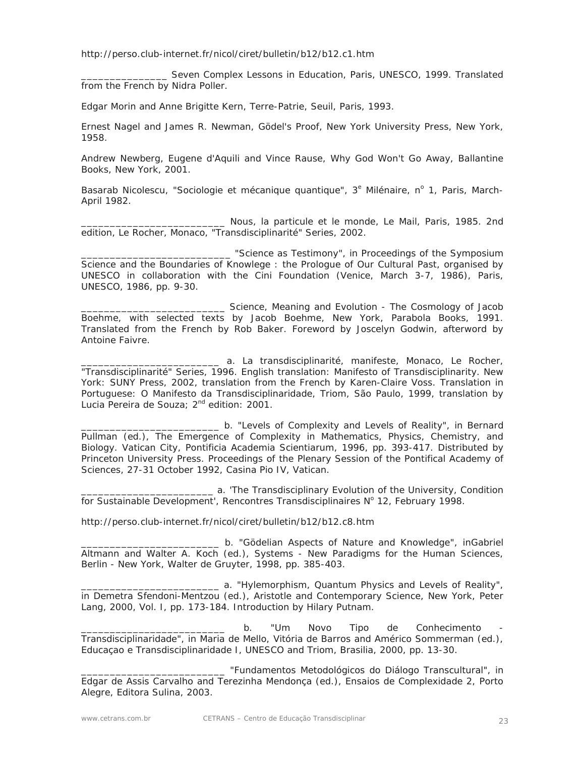http://perso.club-internet.fr/nicol/ciret/bulletin/b12/b12.c1.htm

\_\_\_\_\_\_\_\_\_\_\_\_\_\_\_ *Seven Complex Lessons in Education,* Paris, UNESCO, 1999. Translated from the French by Nidra Poller.

Edgar Morin and Anne Brigitte Kern, *Terre-Patrie*, Seuil, Paris, 1993.

Ernest Nagel and James R. Newman, *Gödel's Proof*, New York University Press, New York, 1958.

Andrew Newberg, Eugene d'Aquili and Vince Rause, *Why God Won't Go Away*, Ballantine Books, New York, 2001.

Basarab Nicolescu, "Sociologie et mécanique quantique", 3<sup>e</sup> Milénaire, nº 1, Paris, March-April 1982.

\_\_\_\_\_\_\_\_\_\_\_\_\_\_\_\_\_\_\_\_\_\_\_\_\_ *Nous, la particule et le monde*, Le Mail, Paris, 1985. 2nd edition, Le Rocher, Monaco, "Transdisciplinarité" Series, 2002.

\_\_\_\_\_\_\_\_\_\_\_\_\_\_\_\_\_\_\_\_\_\_\_\_\_\_ "Science as Testimony", in Proceedings of the Symposium *Science and the Boundaries of Knowlege : the Prologue of Our Cultural Past*, organised by UNESCO in collaboration with the Cini Foundation (Venice, March 3-7, 1986), Paris, UNESCO, 1986, pp. 9-30.

\_\_\_\_\_\_\_\_\_\_\_\_\_\_\_\_\_\_\_\_\_\_\_\_\_ *Science, Meaning and Evolution - The Cosmology of Jacob Boehme,* with selected texts by Jacob Boehme, New York, Parabola Books, 1991. Translated from the French by Rob Baker. Foreword by Joscelyn Godwin, afterword by Antoine Faivre.

\_\_\_\_\_\_\_\_\_\_\_\_\_\_\_\_\_\_\_\_\_\_\_\_ a. *La transdisciplinarité*, manifeste, Monaco, Le Rocher, "Transdisciplinarité" Series, 1996. English translation: *Manifesto of Transdisciplinarity*. New York: SUNY Press, 2002, translation from the French by Karen-Claire Voss. Translation in Portuguese: *O Manifesto da Transdisciplinaridade*, Triom, São Paulo, 1999, translation by Lucia Pereira de Souza; 2<sup>nd</sup> edition: 2001.

Loupsum b. "Levels of Complexity and Levels of Reality", in Bernard Pullman (ed.), *The Emergence of Complexity in Mathematics, Physics, Chemistry, and Biology*. Vatican City, Pontificia Academia Scientiarum, 1996, pp. 393-417. Distributed by Princeton University Press. Proceedings of the Plenary Session of the Pontifical Academy of Sciences, 27-31 October 1992, Casina Pio IV, Vatican.

\_\_\_\_\_\_\_\_\_\_\_\_\_\_\_\_\_\_\_\_\_\_\_ a. 'The Transdisciplinary Evolution of the University, Condition for Sustainable Development', *Rencontres Transdisciplinaires* N° 12, February 1998.

http://perso.club-internet.fr/nicol/ciret/bulletin/b12/b12.c8.htm

\_\_\_\_\_\_\_\_\_\_\_\_\_\_\_\_\_\_\_\_\_\_\_\_ b. "Gödelian Aspects of Nature and Knowledge", inGabriel Altmann and Walter A. Koch (ed.), *Systems - New Paradigms for the Human Sciences*, Berlin - New York, Walter de Gruyter, 1998, pp. 385-403.

\_\_\_\_\_\_\_\_\_\_\_\_\_\_\_\_\_\_\_\_\_\_\_\_ a. "Hylemorphism, Quantum Physics and Levels of Reality", in Demetra Sfendoni-Mentzou (ed.), *Aristotle and Contemporary Science*, New York, Peter Lang, 2000, Vol. I, pp. 173-184. Introduction by Hilary Putnam.

b. "Um Novo Tipo de Conhecimento Transdisciplinaridade", in Maria de Mello, Vitória de Barros and Américo Sommerman (ed.), Educaçao e Transdisciplinaridade I, UNESCO and Triom, Brasilia, 2000, pp. 13-30.

"Fundamentos Metodológicos do Diálogo Transcultural", in Edgar de Assis Carvalho and Terezinha Mendonça (ed.), *Ensaios de Complexidade 2*, Porto Alegre, Editora Sulina, 2003.